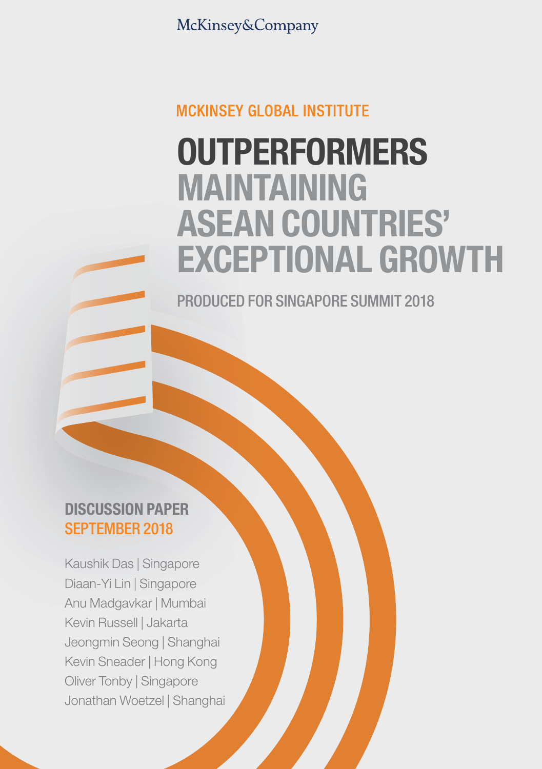McKinsey&Company

# **MCKINSEY GLOBAL INSTITUTE**

# **OUTPERFORMERS** MAINTAINING ASEAN COUNTRIES' EXCEPTIONAL GROWTH

PRODUCED FOR SINGAPORE SUMMIT 2018

# DISCUSSION PAPER SEPTEMBER 2018

Kaushik Das | Singapore Diaan-Yi Lin | Singapore Anu Madgavkar | Mumbai Kevin Russell | Jakarta Jeongmin Seong | Shanghai Kevin Sneader | Hong Kong Oliver Tonby | Singapore Jonathan Woetzel | Shanghai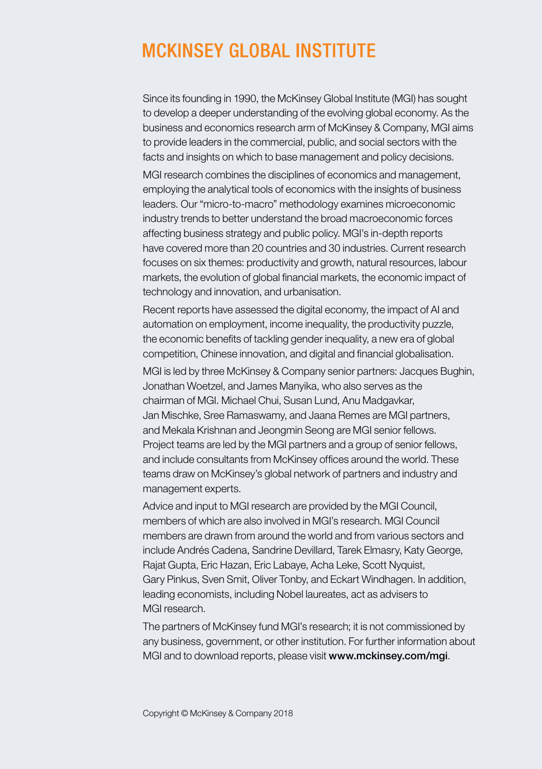# **MCKINSEY GLOBAL INSTITUTE**

Since its founding in 1990, the McKinsey Global Institute (MGI) has sought to develop a deeper understanding of the evolving global economy. As the business and economics research arm of McKinsey & Company, MGI aims to provide leaders in the commercial, public, and social sectors with the facts and insights on which to base management and policy decisions. MGI research combines the disciplines of economics and management, employing the analytical tools of economics with the insights of business leaders. Our "micro-to-macro" methodology examines microeconomic industry trends to better understand the broad macroeconomic forces affecting business strategy and public policy. MGI's in-depth reports have covered more than 20 countries and 30 industries. Current research focuses on six themes: productivity and growth, natural resources, labour markets, the evolution of global financial markets, the economic impact of technology and innovation, and urbanisation.

Recent reports have assessed the digital economy, the impact of AI and automation on employment, income inequality, the productivity puzzle, the economic benefits of tackling gender inequality, a new era of global competition, Chinese innovation, and digital and financial globalisation.

MGI is led by three McKinsey & Company senior partners: Jacques Bughin, Jonathan Woetzel, and James Manyika, who also serves as the chairman of MGI. Michael Chui, Susan Lund, Anu Madgavkar, Jan Mischke, Sree Ramaswamy, and Jaana Remes are MGI partners, and Mekala Krishnan and Jeongmin Seong are MGI senior fellows. Project teams are led by the MGI partners and a group of senior fellows, and include consultants from McKinsey offices around the world. These teams draw on McKinsey's global network of partners and industry and management experts.

Advice and input to MGI research are provided by the MGI Council, members of which are also involved in MGI's research. MGI Council members are drawn from around the world and from various sectors and include Andrés Cadena, Sandrine Devillard, Tarek Elmasry, Katy George, Rajat Gupta, Eric Hazan, Eric Labaye, Acha Leke, Scott Nyquist, Gary Pinkus, Sven Smit, Oliver Tonby, and Eckart Windhagen. In addition, leading economists, including Nobel laureates, act as advisers to MGI research.

The partners of McKinsey fund MGI's research; it is not commissioned by any business, government, or other institution. For further information about MGI and to download reports, please visit www.mckinsey.com/mgi.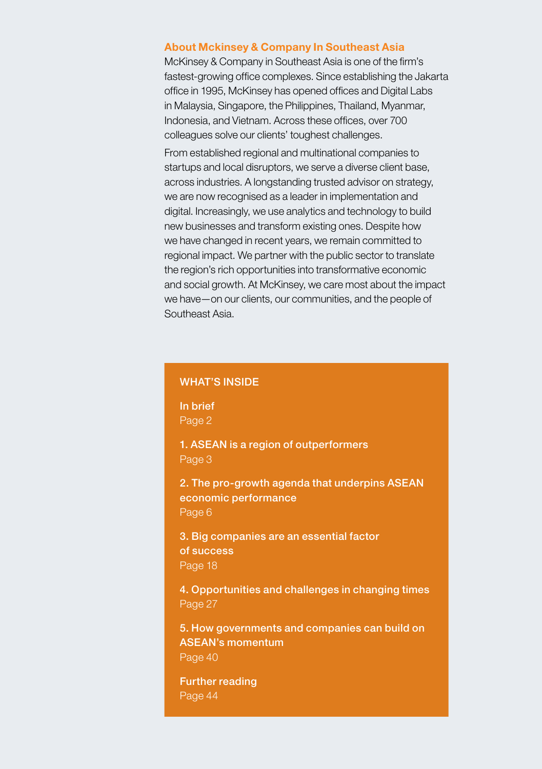# About Mckinsey & Company In Southeast Asia

McKinsey & Company in Southeast Asia is one of the firm's fastest-growing office complexes. Since establishing the Jakarta office in 1995, McKinsey has opened offices and Digital Labs in Malaysia, Singapore, the Philippines, Thailand, Myanmar, Indonesia, and Vietnam. Across these offices, over 700 colleagues solve our clients' toughest challenges.

From established regional and multinational companies to startups and local disruptors, we serve a diverse client base, across industries. A longstanding trusted advisor on strategy, we are now recognised as a leader in implementation and digital. Increasingly, we use analytics and technology to build new businesses and transform existing ones. Despite how we have changed in recent years, we remain committed to regional impact. We partner with the public sector to translate the region's rich opportunities into transformative economic and social growth. At McKinsey, we care most about the impact we have—on our clients, our communities, and the people of Southeast Asia.

#### WHAT'S INSIDE

[In brief](#page-3-0) [Page 2](#page-3-0)

[1. ASEAN is a region of outperformers](#page-4-0) [Page 3](#page-4-0)

[2. The pro-growth agenda that underpins ASEAN](#page-7-0)  [economic performance](#page-7-0) [Page 6](#page-7-0)

[3. Big companies are an essential factor](#page-19-0)  [of success](#page-19-0) [Page 18](#page-19-0)

[4. Opportunities and challenges in changing times](#page-28-0) [Page 27](#page-28-0) 

[5. How governments and companies can build on](#page-41-0)  [ASEAN's momentum](#page-41-0) [Page 40](#page-41-0) 

[Further reading](#page-45-0) [Page 44](#page-45-0)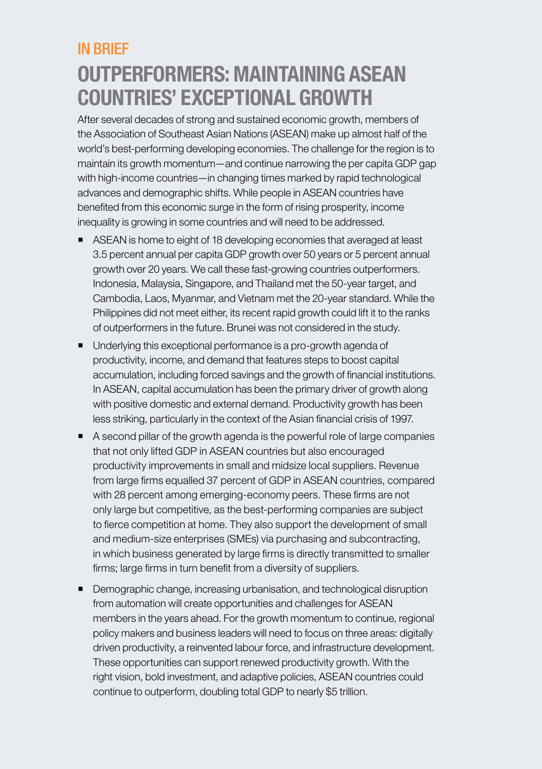# <span id="page-3-0"></span>IN BRIEF OUTPERFORMERS: MAINTAINING ASEAN COUNTRIES' EXCEPTIONAL GROWTH

After several decades of strong and sustained economic growth, members of the Association of Southeast Asian Nations (ASEAN) make up almost half of the world's best-performing developing economies. The challenge for the region is to maintain its growth momentum—and continue narrowing the per capita GDP gap with high-income countries—in changing times marked by rapid technological advances and demographic shifts. While people in ASEAN countries have benefited from this economic surge in the form of rising prosperity, income inequality is growing in some countries and will need to be addressed.

- ASEAN is home to eight of 18 developing economies that averaged at least 3.5 percent annual per capita GDP growth over 50 years or 5 percent annual growth over 20 years. We call these fast-growing countries outperformers. Indonesia, Malaysia, Singapore, and Thailand met the 50-year target, and Cambodia, Laos, Myanmar, and Vietnam met the 20-year standard. While the Philippines did not meet either, its recent rapid growth could lift it to the ranks of outperformers in the future. Brunei was not considered in the study.
- Underlying this exceptional performance is a pro-growth agenda of productivity, income, and demand that features steps to boost capital accumulation, including forced savings and the growth of financial institutions. In ASEAN, capital accumulation has been the primary driver of growth along with positive domestic and external demand. Productivity growth has been less striking, particularly in the context of the Asian financial crisis of 1997.
- A second pillar of the growth agenda is the powerful role of large companies that not only lifted GDP in ASEAN countries but also encouraged productivity improvements in small and midsize local suppliers. Revenue from large firms equalled 37 percent of GDP in ASEAN countries, compared with 28 percent among emerging-economy peers. These firms are not only large but competitive, as the best-performing companies are subject to fierce competition at home. They also support the development of small and medium-size enterprises (SMEs) via purchasing and subcontracting, in which business generated by large firms is directly transmitted to smaller firms; large firms in turn benefit from a diversity of suppliers.
- **Demographic change, increasing urbanisation, and technological disruption** from automation will create opportunities and challenges for ASEAN members in the years ahead. For the growth momentum to continue, regional policy makers and business leaders will need to focus on three areas: digitally driven productivity, a reinvented labour force, and infrastructure development. These opportunities can support renewed productivity growth. With the right vision, bold investment, and adaptive policies, ASEAN countries could continue to outperform, doubling total GDP to nearly \$5 trillion.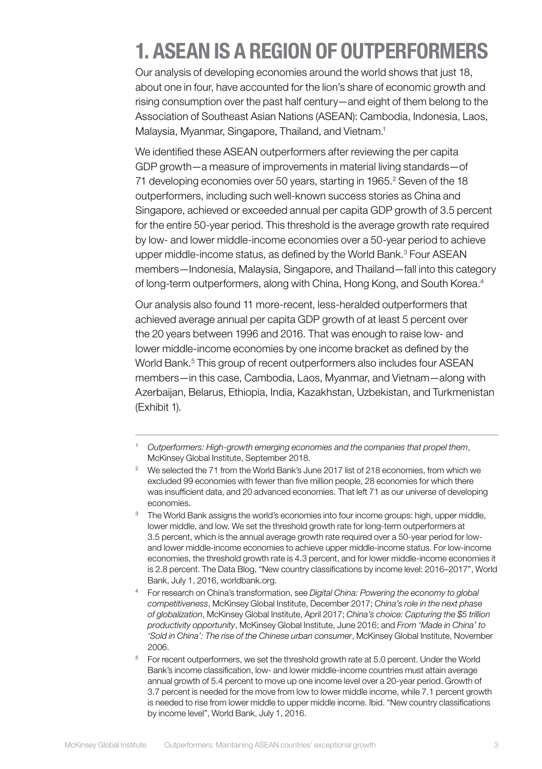# <span id="page-4-0"></span>1. ASEAN IS A REGION OF OUTPERFORMERS

Our analysis of developing economies around the world shows that just 18, about one in four, have accounted for the lion's share of economic growth and rising consumption over the past half century—and eight of them belong to the Association of Southeast Asian Nations (ASEAN): Cambodia, Indonesia, Laos, Malaysia, Myanmar, Singapore, Thailand, and Vietnam.1

We identified these ASEAN outperformers after reviewing the per capita GDP growth—a measure of improvements in material living standards—of 71 developing economies over 50 years, starting in 1965.<sup>2</sup> Seven of the 18 outperformers, including such well-known success stories as China and Singapore, achieved or exceeded annual per capita GDP growth of 3.5 percent for the entire 50-year period. This threshold is the average growth rate required by low- and lower middle-income economies over a 50-year period to achieve upper middle-income status, as defined by the World Bank.<sup>3</sup> Four ASEAN members—Indonesia, Malaysia, Singapore, and Thailand—fall into this category of long-term outperformers, along with China, Hong Kong, and South Korea.<sup>4</sup>

Our analysis also found 11 more-recent, less-heralded outperformers that achieved average annual per capita GDP growth of at least 5 percent over the 20 years between 1996 and 2016. That was enough to raise low- and lower middle-income economies by one income bracket as defined by the World Bank.<sup>5</sup> This group of recent outperformers also includes four ASEAN members—in this case, Cambodia, Laos, Myanmar, and Vietnam—along with Azerbaijan, Belarus, Ethiopia, India, Kazakhstan, Uzbekistan, and Turkmenistan (Exhibit 1).

<sup>1</sup> *Outperformers: High-growth emerging economies and the companies that propel them*, McKinsey Global Institute, September 2018.

<sup>&</sup>lt;sup>2</sup> We selected the 71 from the World Bank's June 2017 list of 218 economies, from which we excluded 99 economies with fewer than five million people, 28 economies for which there was insufficient data, and 20 advanced economies. That left 71 as our universe of developing economies.

<sup>&</sup>lt;sup>3</sup> The World Bank assigns the world's economies into four income groups: high, upper middle, lower middle, and low. We set the threshold growth rate for long-term outperformers at 3.5 percent, which is the annual average growth rate required over a 50-year period for lowand lower middle-income economies to achieve upper middle-income status. For low-income economies, the threshold growth rate is 4.3 percent, and for lower middle-income economies it is 2.8 percent. The Data Blog, "New country classifications by income level: 2016–2017", World Bank, July 1, 2016, worldbank.org.

<sup>4</sup> For research on China's transformation, see *Digital China: Powering the economy to global competitiveness*, McKinsey Global Institute, December 2017; *China's role in the next phase of globalization*, McKinsey Global Institute, April 2017; *China's choice: Capturing the \$5 trillion productivity opportunity*, McKinsey Global Institute, June 2016; and *From 'Made in China' to 'Sold in China': The rise of the Chinese urban consumer*, McKinsey Global Institute, November 2006.

<sup>&</sup>lt;sup>5</sup> For recent outperformers, we set the threshold growth rate at 5.0 percent. Under the World Bank's income classification, low- and lower middle-income countries must attain average annual growth of 5.4 percent to move up one income level over a 20-year period. Growth of 3.7 percent is needed for the move from low to lower middle income, while 7.1 percent growth is needed to rise from lower middle to upper middle income. Ibid. "New country classifications by income level", World Bank, July 1, 2016.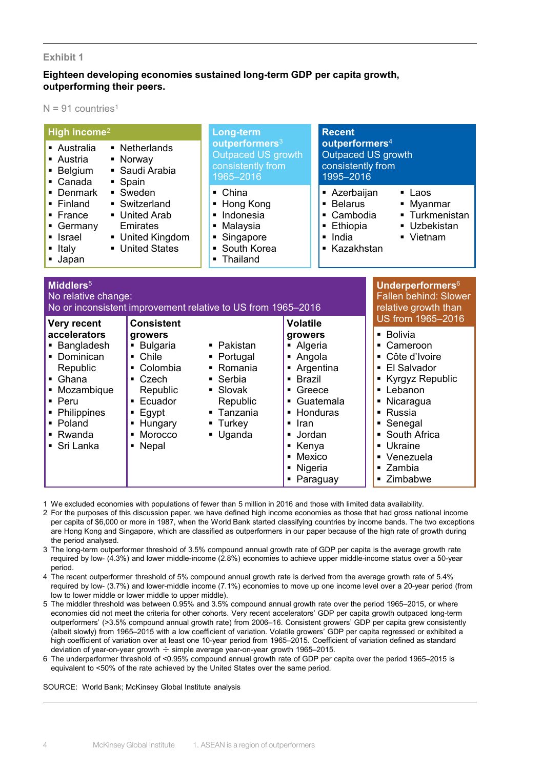# **Eighteen developing economies sustained long-term GDP per capita growth, outperforming their peers.**

#### $N = 91$  countries<sup>1</sup>

| High income <sup>2</sup><br>• Netherlands<br>$\blacksquare$ Australia<br>■ Austria<br>Norway<br>٠<br>Saudi Arabia<br>Belgium<br>Ξ<br>Canada<br>Spain<br>٠<br>Sweden<br>Denmark<br>$\blacksquare$<br>$\blacksquare$ Finland<br>Switzerland<br>٠<br><b>United Arab</b><br>France<br>Emirates<br>Germany<br>• United Kingdom<br>Israel<br>• United States<br>Italy<br>Japan |                                                                                                                                                          | <b>Long-term</b><br>outperformers <sup>3</sup><br><b>Outpaced US growth</b><br>consistently from<br>1965-2016<br>$\blacksquare$ China<br>Hong Kong<br>٠<br>Indonesia<br>Malaysia<br>Singapore<br>South Korea<br>٠<br>Thailand<br>٠ |                                                                                                                                                               | <b>Recent</b><br>outperformers <sup>4</sup><br>Outpaced US growth<br>consistently from<br>1995-2016<br>■ Azerbaijan<br>$\blacksquare$ Laos<br><b>Belarus</b><br>Myanmar<br>٠<br>Turkmenistan<br>Cambodia<br>Ethiopia<br>Uzbekistan<br>Ξ<br>India<br>$\blacksquare$ Vietnam<br>Ξ<br>Kazakhstan |                                                                                                                                                                                                                                                                                                |  |
|--------------------------------------------------------------------------------------------------------------------------------------------------------------------------------------------------------------------------------------------------------------------------------------------------------------------------------------------------------------------------|----------------------------------------------------------------------------------------------------------------------------------------------------------|------------------------------------------------------------------------------------------------------------------------------------------------------------------------------------------------------------------------------------|---------------------------------------------------------------------------------------------------------------------------------------------------------------|-----------------------------------------------------------------------------------------------------------------------------------------------------------------------------------------------------------------------------------------------------------------------------------------------|------------------------------------------------------------------------------------------------------------------------------------------------------------------------------------------------------------------------------------------------------------------------------------------------|--|
| Middlers <sup>5</sup><br>No relative change:<br>No or inconsistent improvement relative to US from 1965-2016<br><b>Very recent</b><br>accelerators<br>Bangladesh<br>■ Dominican<br>Republic<br>$\blacksquare$ Ghana<br>Mozambique<br>$\blacksquare$ Peru<br>Philippines<br>Poland<br>Rwanda<br>Sri Lanka                                                                 | <b>Consistent</b><br>arowers<br>■ Bulgaria<br>Chile<br>Colombia<br>$\blacksquare$ Czech<br>Republic<br>• Ecuador<br>Egypt<br>Hungary<br>Morocco<br>Nepal | Pakistan<br>٠<br>Portugal<br>٠<br>Romania<br>Serbia<br>Slovak<br>٠<br>Republic<br>Tanzania<br>Turkey<br>■ Uganda                                                                                                                   | <b>Volatile</b><br>arowers<br>■ Algeria<br>■ Angola<br>Argentina<br>■ Brazil<br>Greece<br>■<br>٠<br>Honduras<br>Iran<br>■<br>Jordan<br>п<br>■ Kenya<br>Mexico | Guatemala                                                                                                                                                                                                                                                                                     | <b>Underperformers</b> <sup>6</sup><br><b>Fallen behind: Slower</b><br>relative growth than<br>US from 1965-2016<br>$\blacksquare$ Bolivia<br>Cameroon<br>Côte d'Ivoire<br>El Salvador<br>Kyrgyz Republic<br>Lebanon<br>Nicaragua<br>Russia<br>Senegal<br>South Africa<br>Ukraine<br>Venezuela |  |

1 We excluded economies with populations of fewer than 5 million in 2016 and those with limited data availability.

- 2 For the purposes of this discussion paper, we have defined high income economies as those that had gross national income per capita of \$6,000 or more in 1987, when the World Bank started classifying countries by income bands. The two exceptions are Hong Kong and Singapore, which are classified as outperformers in our paper because of the high rate of growth during the period analysed.
- 3 The long-term outperformer threshold of 3.5% compound annual growth rate of GDP per capita is the average growth rate required by low- (4.3%) and lower middle-income (2.8%) economies to achieve upper middle-income status over a 50-year period.
- 4 The recent outperformer threshold of 5% compound annual growth rate is derived from the average growth rate of 5.4% required by low- (3.7%) and lower-middle income (7.1%) economies to move up one income level over a 20-year period (from low to lower middle or lower middle to upper middle).
- 5 The middler threshold was between 0.95% and 3.5% compound annual growth rate over the period 1965–2015, or where economies did not meet the criteria for other cohorts. Very recent accelerators' GDP per capita growth outpaced long-term outperformers' (>3.5% compound annual growth rate) from 2006–16. Consistent growers' GDP per capita grew consistently (albeit slowly) from 1965–2015 with a low coefficient of variation. Volatile growers' GDP per capita regressed or exhibited a high coefficient of variation over at least one 10-year period from 1965–2015. Coefficient of variation defined as standard deviation of year-on-year growth ÷ simple average year-on-year growth 1965–2015.
- 6 The underperformer threshold of <0.95% compound annual growth rate of GDP per capita over the period 1965–2015 is equivalent to <50% of the rate achieved by the United States over the same period.

SOURCE: World Bank; McKinsey Global Institute analysis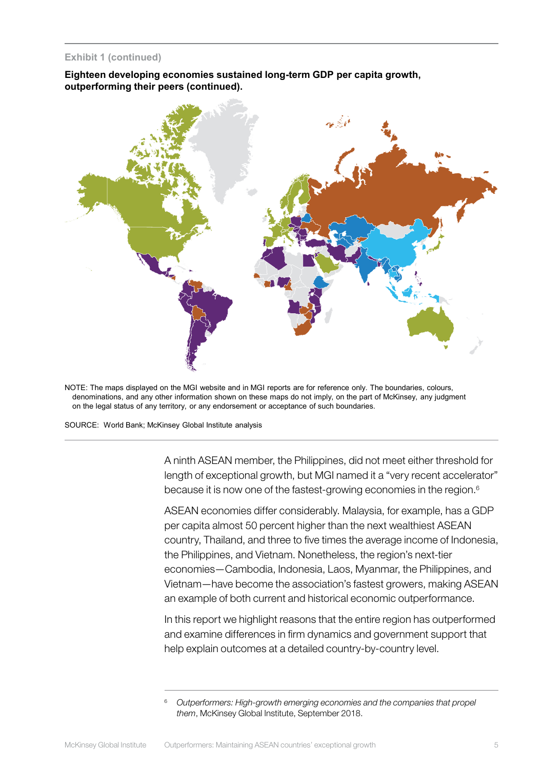# **Exhibit 16 1 (continued)**

**Eighteen developing economies sustained long-term GDP per capita growth, outperforming their peers (continued).**



NOTE: The maps displayed on the MGI website and in MGI reports are for reference only. The boundaries, colours, denominations, and any other information shown on these maps do not imply, on the part of McKinsey, any judgment on the legal status of any territory, or any endorsement or acceptance of such boundaries.

SOURCE: World Bank; McKinsey Global Institute analysis

A ninth ASEAN member, the Philippines, did not meet either threshold for length of exceptional growth, but MGI named it a "very recent accelerator" because it is now one of the fastest-growing economies in the region.<sup>6</sup>

> ASEAN economies differ considerably. Malaysia, for example, has a GDP per capita almost 50 percent higher than the next wealthiest ASEAN country, Thailand, and three to five times the average income of Indonesia, the Philippines, and Vietnam. Nonetheless, the region's next-tier economies—Cambodia, Indonesia, Laos, Myanmar, the Philippines, and Vietnam—have become the association's fastest growers, making ASEAN an example of both current and historical economic outperformance.

> In this report we highlight reasons that the entire region has outperformed and examine differences in firm dynamics and government support that help explain outcomes at a detailed country-by-country level.

<sup>6</sup> *Outperformers: High-growth emerging economies and the companies that propel them*, McKinsey Global Institute, September 2018.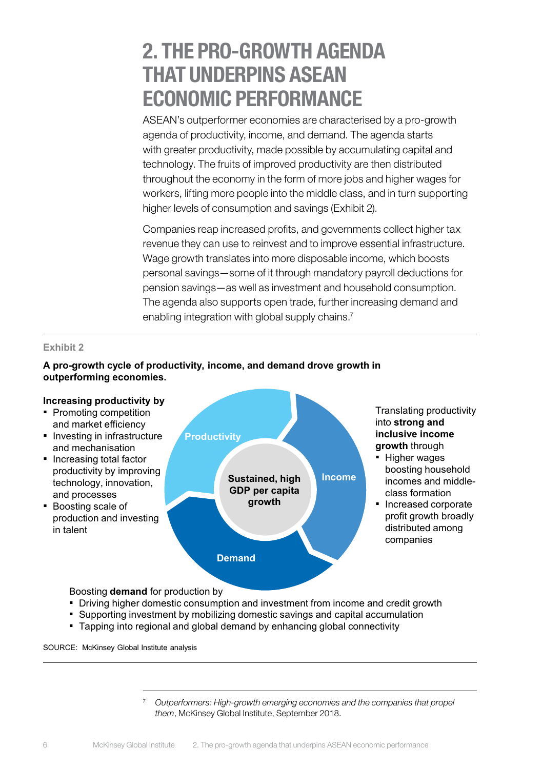# <span id="page-7-0"></span>2. THE PRO-GROWTH AGENDA THAT UNDERPINS ASEAN ECONOMIC PERFORMANCE

ASEAN's outperformer economies are characterised by a pro-growth agenda of productivity, income, and demand. The agenda starts with greater productivity, made possible by accumulating capital and technology. The fruits of improved productivity are then distributed throughout the economy in the form of more jobs and higher wages for workers, lifting more people into the middle class, and in turn supporting higher levels of consumption and savings (Exhibit 2).

Companies reap increased profits, and governments collect higher tax revenue they can use to reinvest and to improve essential infrastructure. Wage growth translates into more disposable income, which boosts personal savings—some of it through mandatory payroll deductions for pension savings—as well as investment and household consumption. The agenda also supports open trade, further increasing demand and enabling integration with global supply chains.<sup>7</sup>

# **Exhibit 2**

# **A pro-growth cycle of productivity, income, and demand drove growth in outperforming economies.**

#### **Sustained, high GDP per capita growth Productivity Income Demand** Translating productivity into **strong and inclusive income growth** through **• Higher wages** boosting household incomes and middleclass formation ▪ Increased corporate profit growth broadly distributed among companies Boosting **demand** for production by ▪ Driving higher domestic consumption and investment from income and credit growth **Increasing productivity by** ■ Promoting competition and market efficiency **• Investing in infrastructure** and mechanisation ■ Increasing total factor productivity by improving technology, innovation, and processes ▪ Boosting scale of production and investing in talent

- 
- Supporting investment by mobilizing domestic savings and capital accumulation
- Tapping into regional and global demand by enhancing global connectivity

SOURCE: McKinsey Global Institute analysis

<sup>7</sup> *Outperformers: High-growth emerging economies and the companies that propel them*, McKinsey Global Institute, September 2018.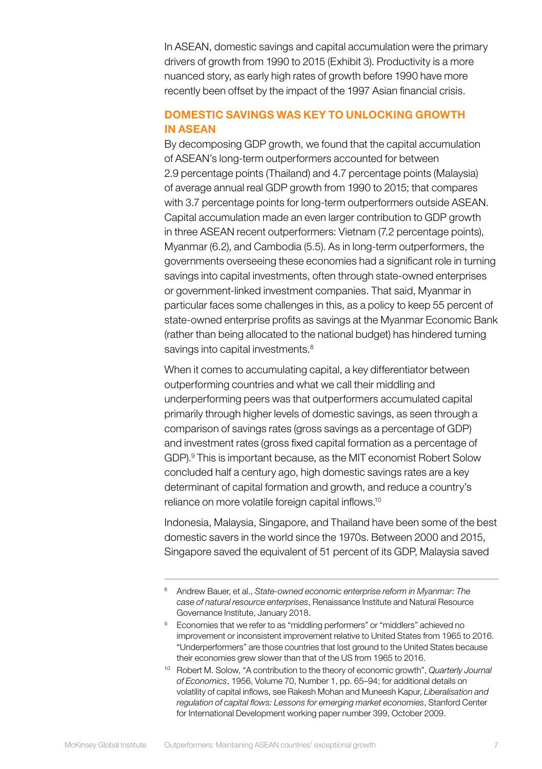In ASEAN, domestic savings and capital accumulation were the primary drivers of growth from 1990 to 2015 (Exhibit 3). Productivity is a more nuanced story, as early high rates of growth before 1990 have more recently been offset by the impact of the 1997 Asian financial crisis.

# DOMESTIC SAVINGS WAS KEY TO UNLOCKING GROWTH IN ASEAN

By decomposing GDP growth, we found that the capital accumulation of ASEAN's long-term outperformers accounted for between 2.9 percentage points (Thailand) and 4.7 percentage points (Malaysia) of average annual real GDP growth from 1990 to 2015; that compares with 3.7 percentage points for long-term outperformers outside ASEAN. Capital accumulation made an even larger contribution to GDP growth in three ASEAN recent outperformers: Vietnam (7.2 percentage points), Myanmar (6.2), and Cambodia (5.5). As in long-term outperformers, the governments overseeing these economies had a significant role in turning savings into capital investments, often through state-owned enterprises or government-linked investment companies. That said, Myanmar in particular faces some challenges in this, as a policy to keep 55 percent of state-owned enterprise profits as savings at the Myanmar Economic Bank (rather than being allocated to the national budget) has hindered turning savings into capital investments.<sup>8</sup>

When it comes to accumulating capital, a key differentiator between outperforming countries and what we call their middling and underperforming peers was that outperformers accumulated capital primarily through higher levels of domestic savings, as seen through a comparison of savings rates (gross savings as a percentage of GDP) and investment rates (gross fixed capital formation as a percentage of GDP).9 This is important because, as the MIT economist Robert Solow concluded half a century ago, high domestic savings rates are a key determinant of capital formation and growth, and reduce a country's reliance on more volatile foreign capital inflows.10

Indonesia, Malaysia, Singapore, and Thailand have been some of the best domestic savers in the world since the 1970s. Between 2000 and 2015, Singapore saved the equivalent of 51 percent of its GDP, Malaysia saved

<sup>8</sup> Andrew Bauer, et al., *State-owned economic enterprise reform in Myanmar: The case of natural resource enterprises*, Renaissance Institute and Natural Resource Governance Institute, January 2018.

<sup>&</sup>lt;sup>9</sup> Economies that we refer to as "middling performers" or "middlers" achieved no improvement or inconsistent improvement relative to United States from 1965 to 2016. "Underperformers" are those countries that lost ground to the United States because their economies grew slower than that of the US from 1965 to 2016.

<sup>10</sup> Robert M. Solow, "A contribution to the theory of economic growth", *Quarterly Journal of Economics*, 1956, Volume 70, Number 1, pp. 65–94; for additional details on volatility of capital inflows, see Rakesh Mohan and Muneesh Kapur, *Liberalisation and regulation of capital flows: Lessons for emerging market economies*, Stanford Center for International Development working paper number 399, October 2009.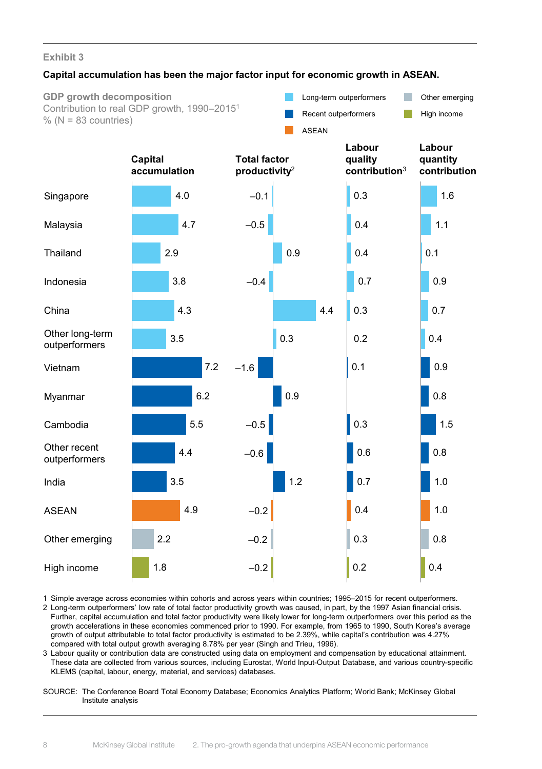### **Capital accumulation has been the major factor input for economic growth in ASEAN.**

| <b>GDP</b> growth decomposition<br>% ( $N = 83$ countries) | Contribution to real GDP growth, 1990-2015 <sup>1</sup> |                                                  | Recent outperformers<br><b>ASEAN</b> | Long-term outperformers                        | Other emerging<br>High income      |
|------------------------------------------------------------|---------------------------------------------------------|--------------------------------------------------|--------------------------------------|------------------------------------------------|------------------------------------|
|                                                            | <b>Capital</b><br>accumulation                          | <b>Total factor</b><br>productivity <sup>2</sup> |                                      | Labour<br>quality<br>contribution <sup>3</sup> | Labour<br>quantity<br>contribution |
| Singapore                                                  | 4.0                                                     | $-0.1$                                           |                                      | 0.3                                            | 1.6                                |
| Malaysia                                                   | 4.7                                                     | $-0.5$                                           |                                      | 0.4                                            | 1.1                                |
| Thailand                                                   | 2.9                                                     |                                                  | 0.9                                  | 0.4                                            | 0.1                                |
| Indonesia                                                  | 3.8                                                     | $-0.4$                                           |                                      | 0.7                                            | 0.9                                |
| China                                                      | 4.3                                                     |                                                  | 4.4                                  | 0.3                                            | 0.7                                |
| Other long-term<br>outperformers                           | 3.5                                                     |                                                  | 0.3                                  | 0.2                                            | 0.4                                |
| Vietnam                                                    | 7.2                                                     | $-1.6$                                           |                                      | 0.1                                            | 0.9                                |
| Myanmar                                                    | 6.2                                                     |                                                  | 0.9                                  |                                                | 0.8                                |
| Cambodia                                                   | 5.5                                                     | $-0.5$                                           |                                      | 0.3                                            | 1.5                                |
| Other recent<br>outperformers                              | 4.4                                                     | $-0.6$                                           |                                      | 0.6                                            | 0.8                                |
| India                                                      | 3.5                                                     |                                                  | 1.2                                  | 0.7                                            | 1.0                                |
| <b>ASEAN</b>                                               | 4.9                                                     | $-0.2$                                           |                                      | 0.4                                            | 1.0                                |
| Other emerging                                             | 2.2                                                     | $-0.2$                                           |                                      | 0.3                                            | 0.8                                |
| High income                                                | 1.8                                                     | $-0.2$                                           |                                      | 0.2                                            | 0.4                                |

1 Simple average across economies within cohorts and across years within countries; 1995–2015 for recent outperformers. 2 Long-term outperformers' low rate of total factor productivity growth was caused, in part, by the 1997 Asian financial crisis. Further, capital accumulation and total factor productivity were likely lower for long-term outperformers over this period as the growth accelerations in these economies commenced prior to 1990. For example, from 1965 to 1990, South Korea's average growth of output attributable to total factor productivity is estimated to be 2.39%, while capital's contribution was 4.27% compared with total output growth averaging 8.78% per year (Singh and Trieu, 1996).

3 Labour quality or contribution data are constructed using data on employment and compensation by educational attainment. These data are collected from various sources, including Eurostat, World Input-Output Database, and various country-specific KLEMS (capital, labour, energy, material, and services) databases.

SOURCE: The Conference Board Total Economy Database; Economics Analytics Platform; World Bank; McKinsey Global Institute analysis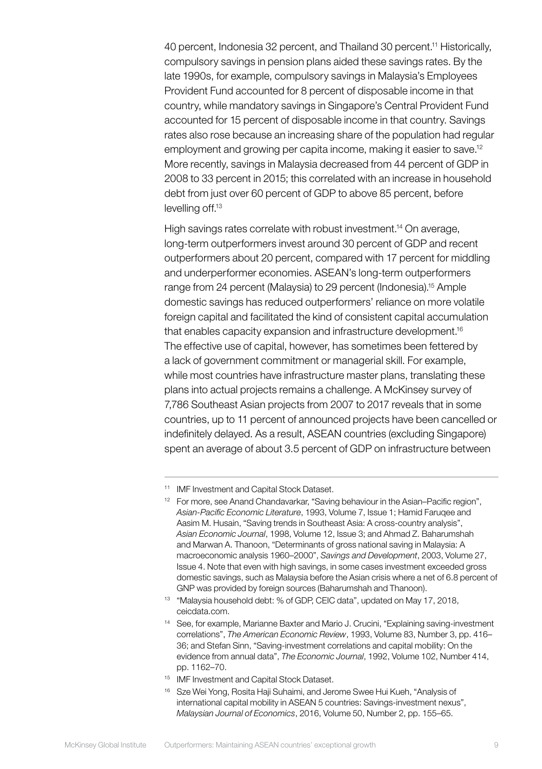40 percent, Indonesia 32 percent, and Thailand 30 percent.11 Historically, compulsory savings in pension plans aided these savings rates. By the late 1990s, for example, compulsory savings in Malaysia's Employees Provident Fund accounted for 8 percent of disposable income in that country, while mandatory savings in Singapore's Central Provident Fund accounted for 15 percent of disposable income in that country. Savings rates also rose because an increasing share of the population had regular employment and growing per capita income, making it easier to save.<sup>12</sup> More recently, savings in Malaysia decreased from 44 percent of GDP in 2008 to 33 percent in 2015; this correlated with an increase in household debt from just over 60 percent of GDP to above 85 percent, before levelling off.13

High savings rates correlate with robust investment.<sup>14</sup> On average, long-term outperformers invest around 30 percent of GDP and recent outperformers about 20 percent, compared with 17 percent for middling and underperformer economies. ASEAN's long-term outperformers range from 24 percent (Malaysia) to 29 percent (Indonesia).<sup>15</sup> Ample domestic savings has reduced outperformers' reliance on more volatile foreign capital and facilitated the kind of consistent capital accumulation that enables capacity expansion and infrastructure development.<sup>16</sup> The effective use of capital, however, has sometimes been fettered by a lack of government commitment or managerial skill. For example, while most countries have infrastructure master plans, translating these plans into actual projects remains a challenge. A McKinsey survey of 7,786 Southeast Asian projects from 2007 to 2017 reveals that in some countries, up to 11 percent of announced projects have been cancelled or indefinitely delayed. As a result, ASEAN countries (excluding Singapore) spent an average of about 3.5 percent of GDP on infrastructure between

- <sup>13</sup> "Malaysia household debt: % of GDP, CEIC data", updated on May 17, 2018, ceicdata.com.
- <sup>14</sup> See, for example, Marianne Baxter and Mario J. Crucini, "Explaining saving-investment correlations", *The American Economic Review*, 1993, Volume 83, Number 3, pp. 416– 36; and Stefan Sinn, "Saving-investment correlations and capital mobility: On the evidence from annual data", *The Economic Journal*, 1992, Volume 102, Number 414, pp. 1162–70.
- <sup>15</sup> IMF Investment and Capital Stock Dataset.
- <sup>16</sup> Sze Wei Yong, Rosita Haji Suhaimi, and Jerome Swee Hui Kueh, "Analysis of international capital mobility in ASEAN 5 countries: Savings-investment nexus", *Malaysian Journal of Economics*, 2016, Volume 50, Number 2, pp. 155–65.

<sup>11</sup> IMF Investment and Capital Stock Dataset.

<sup>&</sup>lt;sup>12</sup> For more, see Anand Chandavarkar, "Saving behaviour in the Asian–Pacific region", *Asian-Pacific Economic Literature*, 1993, Volume 7, Issue 1; Hamid Faruqee and Aasim M. Husain, "Saving trends in Southeast Asia: A cross-country analysis", *Asian Economic Journal*, 1998, Volume 12, Issue 3; and Ahmad Z. Baharumshah and Marwan A. Thanoon, "Determinants of gross national saving in Malaysia: A macroeconomic analysis 1960–2000", *Savings and Development*, 2003, Volume 27, Issue 4. Note that even with high savings, in some cases investment exceeded gross domestic savings, such as Malaysia before the Asian crisis where a net of 6.8 percent of GNP was provided by foreign sources (Baharumshah and Thanoon).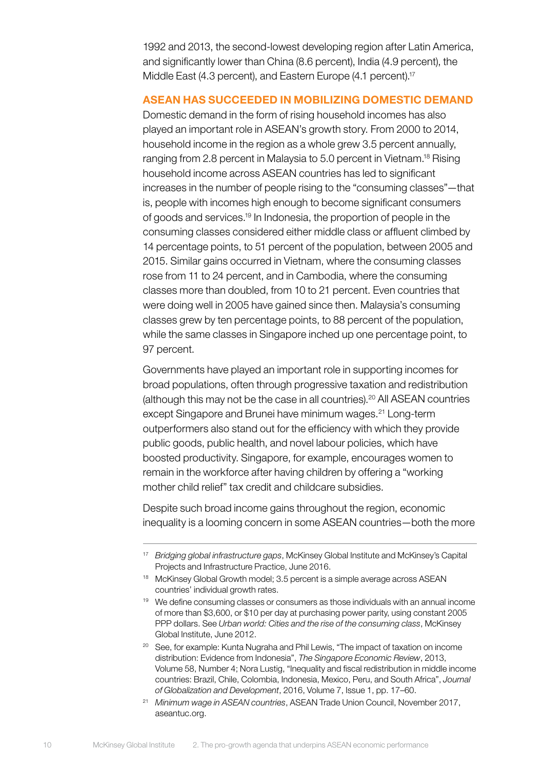1992 and 2013, the second-lowest developing region after Latin America, and significantly lower than China (8.6 percent), India (4.9 percent), the Middle East (4.3 percent), and Eastern Europe (4.1 percent).<sup>17</sup>

# ASEAN HAS SUCCEEDED IN MOBILIZING DOMESTIC DEMAND

Domestic demand in the form of rising household incomes has also played an important role in ASEAN's growth story. From 2000 to 2014, household income in the region as a whole grew 3.5 percent annually, ranging from 2.8 percent in Malaysia to 5.0 percent in Vietnam.18 Rising household income across ASEAN countries has led to significant increases in the number of people rising to the "consuming classes"—that is, people with incomes high enough to become significant consumers of goods and services.19 In Indonesia, the proportion of people in the consuming classes considered either middle class or affluent climbed by 14 percentage points, to 51 percent of the population, between 2005 and 2015. Similar gains occurred in Vietnam, where the consuming classes rose from 11 to 24 percent, and in Cambodia, where the consuming classes more than doubled, from 10 to 21 percent. Even countries that were doing well in 2005 have gained since then. Malaysia's consuming classes grew by ten percentage points, to 88 percent of the population, while the same classes in Singapore inched up one percentage point, to 97 percent.

Governments have played an important role in supporting incomes for broad populations, often through progressive taxation and redistribution (although this may not be the case in all countries).20 All ASEAN countries except Singapore and Brunei have minimum wages.<sup>21</sup> Long-term outperformers also stand out for the efficiency with which they provide public goods, public health, and novel labour policies, which have boosted productivity. Singapore, for example, encourages women to remain in the workforce after having children by offering a "working mother child relief" tax credit and childcare subsidies.

Despite such broad income gains throughout the region, economic inequality is a looming concern in some ASEAN countries—both the more

<sup>17</sup> *Bridging global infrastructure gaps*, McKinsey Global Institute and McKinsey's Capital Projects and Infrastructure Practice, June 2016.

<sup>&</sup>lt;sup>18</sup> McKinsey Global Growth model; 3.5 percent is a simple average across ASEAN countries' individual growth rates.

<sup>&</sup>lt;sup>19</sup> We define consuming classes or consumers as those individuals with an annual income of more than \$3,600, or \$10 per day at purchasing power parity, using constant 2005 PPP dollars. See *Urban world: Cities and the rise of the consuming class*, McKinsey Global Institute, June 2012.

<sup>&</sup>lt;sup>20</sup> See, for example: Kunta Nugraha and Phil Lewis, "The impact of taxation on income distribution: Evidence from Indonesia", *The Singapore Economic Review*, 2013, Volume 58, Number 4; Nora Lustig, "Inequality and fiscal redistribution in middle income countries: Brazil, Chile, Colombia, Indonesia, Mexico, Peru, and South Africa", *Journal of Globalization and Development*, 2016, Volume 7, Issue 1, pp. 17–60.

<sup>21</sup> *Minimum wage in ASEAN countries*, ASEAN Trade Union Council, November 2017, aseantuc.org.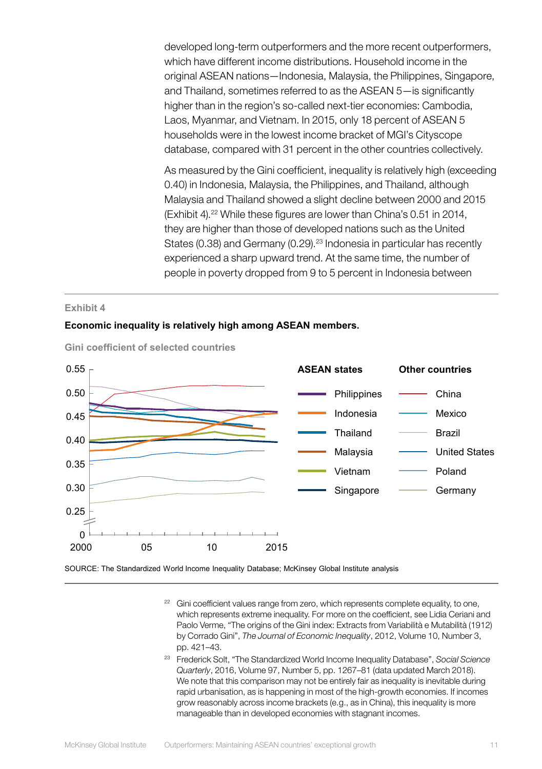developed long-term outperformers and the more recent outperformers, which have different income distributions. Household income in the original ASEAN nations—Indonesia, Malaysia, the Philippines, Singapore, and Thailand, sometimes referred to as the ASEAN 5—is significantly higher than in the region's so-called next-tier economies: Cambodia, Laos, Myanmar, and Vietnam. In 2015, only 18 percent of ASEAN 5 households were in the lowest income bracket of MGI's Cityscope database, compared with 31 percent in the other countries collectively.

As measured by the Gini coefficient, inequality is relatively high (exceeding 0.40) in Indonesia, Malaysia, the Philippines, and Thailand, although Malaysia and Thailand showed a slight decline between 2000 and 2015 (Exhibit 4).<sup>22</sup> While these figures are lower than China's 0.51 in 2014, they are higher than those of developed nations such as the United States (0.38) and Germany (0.29).<sup>23</sup> Indonesia in particular has recently experienced a sharp upward trend. At the same time, the number of people in poverty dropped from 9 to 5 percent in Indonesia between

#### **Exhibit 4**

#### **Economic inequality is relatively high among ASEAN members.**



**Gini coefficient of selected countries**

SOURCE: The Standardized World Income Inequality Database; McKinsey Global Institute analysis

- <sup>22</sup> Gini coefficient values range from zero, which represents complete equality, to one, which represents extreme inequality. For more on the coefficient, see Lidia Ceriani and Paolo Verme, "The origins of the Gini index: Extracts from Variabilità e Mutabilità (1912) by Corrado Gini", *The Journal of Economic Inequality*, 2012, Volume 10, Number 3, pp. 421–43.
- <sup>23</sup> Frederick Solt, "The Standardized World Income Inequality Database", *Social Science Quarterly*, 2016, Volume 97, Number 5, pp. 1267–81 (data updated March 2018). We note that this comparison may not be entirely fair as inequality is inevitable during rapid urbanisation, as is happening in most of the high-growth economies. If incomes grow reasonably across income brackets (e.g., as in China), this inequality is more manageable than in developed economies with stagnant incomes.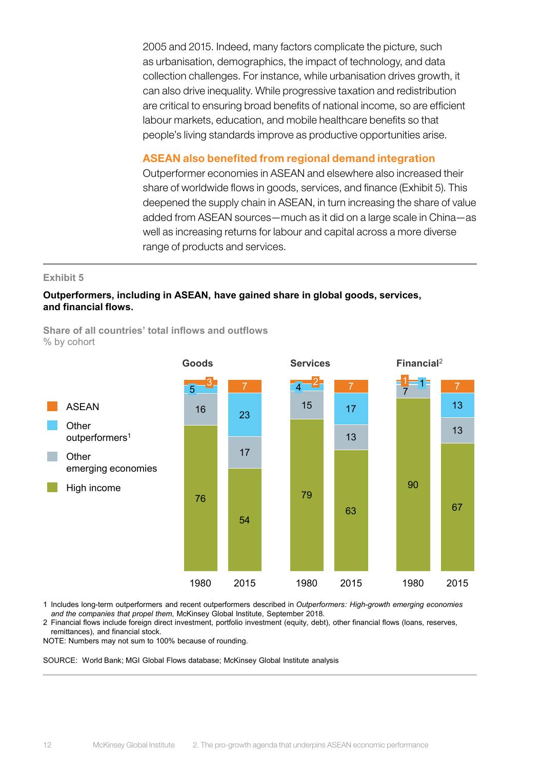2005 and 2015. Indeed, many factors complicate the picture, such as urbanisation, demographics, the impact of technology, and data collection challenges. For instance, while urbanisation drives growth, it can also drive inequality. While progressive taxation and redistribution are critical to ensuring broad benefits of national income, so are efficient labour markets, education, and mobile healthcare benefits so that people's living standards improve as productive opportunities arise.

# ASEAN also benefited from regional demand integration

Outperformer economies in ASEAN and elsewhere also increased their share of worldwide flows in goods, services, and finance (Exhibit 5). This deepened the supply chain in ASEAN, in turn increasing the share of value added from ASEAN sources—much as it did on a large scale in China—as well as increasing returns for labour and capital across a more diverse range of products and services.

#### **Exhibit 5**

# **Outperformers, including in ASEAN, have gained share in global goods, services, and financial flows.**

**Share of all countries' total inflows and outflows** % by cohort



1 Includes long-term outperformers and recent outperformers described in *Outperformers: High-growth emerging economies and the companies that propel them*, McKinsey Global Institute, September 2018.

2 Financial flows include foreign direct investment, portfolio investment (equity, debt), other financial flows (loans, reserves, remittances), and financial stock.

NOTE: Numbers may not sum to 100% because of rounding.

SOURCE: World Bank; MGI Global Flows database; McKinsey Global Institute analysis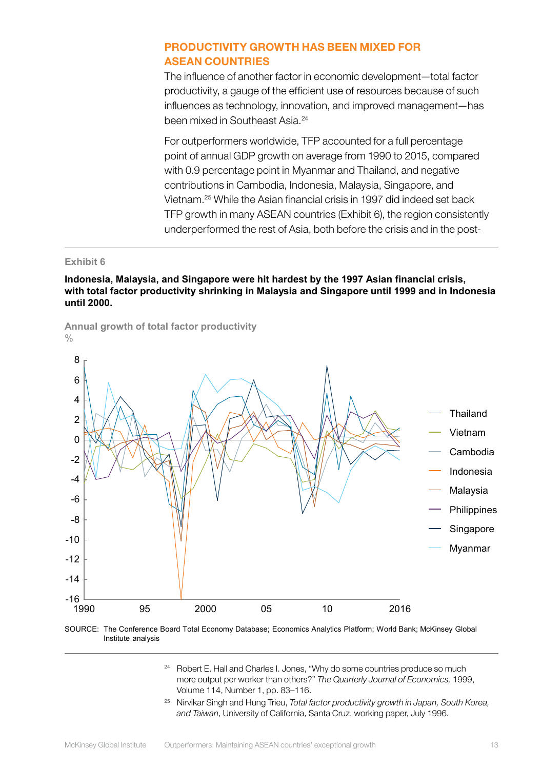# PRODUCTIVITY GROWTH HAS BEEN MIXED FOR ASEAN COUNTRIES

The influence of another factor in economic development—total factor productivity, a gauge of the efficient use of resources because of such influences as technology, innovation, and improved management—has been mixed in Southeast Asia<sup>24</sup>

For outperformers worldwide, TFP accounted for a full percentage point of annual GDP growth on average from 1990 to 2015, compared with 0.9 percentage point in Myanmar and Thailand, and negative contributions in Cambodia, Indonesia, Malaysia, Singapore, and Vietnam.25 While the Asian financial crisis in 1997 did indeed set back TFP growth in many ASEAN countries (Exhibit 6), the region consistently underperformed the rest of Asia, both before the crisis and in the post-

#### **Exhibit 6**

#### **Indonesia, Malaysia, and Singapore were hit hardest by the 1997 Asian financial crisis, with total factor productivity shrinking in Malaysia and Singapore until 1999 and in Indonesia until 2000.**

**Annual growth of total factor productivity**  $\frac{0}{0}$ 



SOURCE: The Conference Board Total Economy Database; Economics Analytics Platform; World Bank; McKinsey Global Institute analysis

- <sup>24</sup> Robert E. Hall and Charles I. Jones, "Why do some countries produce so much more output per worker than others?" *The Quarterly Journal of Economics,* 1999, Volume 114, Number 1, pp. 83–116.
- <sup>25</sup> Nirvikar Singh and Hung Trieu, *Total factor productivity growth in Japan, South Korea, and Taiwan*, University of California, Santa Cruz, working paper, July 1996.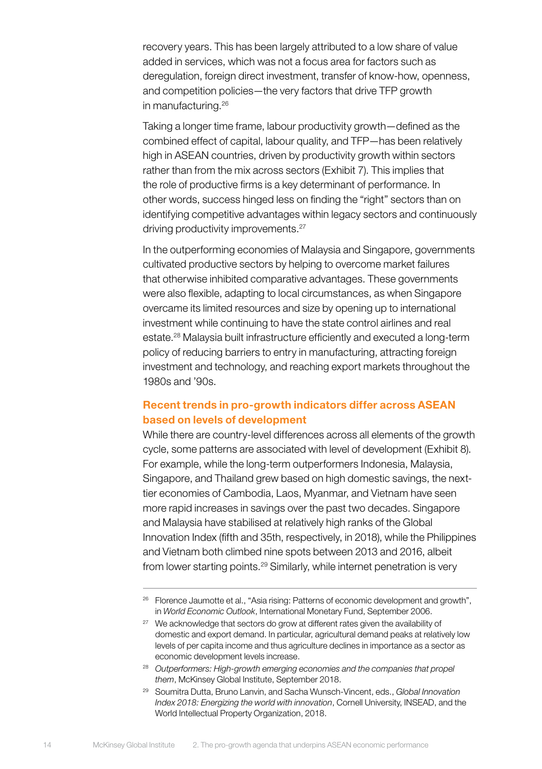recovery years. This has been largely attributed to a low share of value added in services, which was not a focus area for factors such as deregulation, foreign direct investment, transfer of know-how, openness, and competition policies—the very factors that drive TFP growth in manufacturing.26

Taking a longer time frame, labour productivity growth—defined as the combined effect of capital, labour quality, and TFP—has been relatively high in ASEAN countries, driven by productivity growth within sectors rather than from the mix across sectors (Exhibit 7). This implies that the role of productive firms is a key determinant of performance. In other words, success hinged less on finding the "right" sectors than on identifying competitive advantages within legacy sectors and continuously driving productivity improvements.<sup>27</sup>

In the outperforming economies of Malaysia and Singapore, governments cultivated productive sectors by helping to overcome market failures that otherwise inhibited comparative advantages. These governments were also flexible, adapting to local circumstances, as when Singapore overcame its limited resources and size by opening up to international investment while continuing to have the state control airlines and real estate.28 Malaysia built infrastructure efficiently and executed a long-term policy of reducing barriers to entry in manufacturing, attracting foreign investment and technology, and reaching export markets throughout the 1980s and '90s.

# Recent trends in pro-growth indicators differ across ASEAN based on levels of development

While there are country-level differences across all elements of the growth cycle, some patterns are associated with level of development (Exhibit 8). For example, while the long-term outperformers Indonesia, Malaysia, Singapore, and Thailand grew based on high domestic savings, the nexttier economies of Cambodia, Laos, Myanmar, and Vietnam have seen more rapid increases in savings over the past two decades. Singapore and Malaysia have stabilised at relatively high ranks of the Global Innovation Index (fifth and 35th, respectively, in 2018), while the Philippines and Vietnam both climbed nine spots between 2013 and 2016, albeit from lower starting points.<sup>29</sup> Similarly, while internet penetration is very

- <sup>28</sup> *Outperformers: High-growth emerging economies and the companies that propel them*, McKinsey Global Institute, September 2018.
- <sup>29</sup> Soumitra Dutta, Bruno Lanvin, and Sacha Wunsch-Vincent, eds., *Global Innovation Index 2018: Energizing the world with innovation*, Cornell University, INSEAD, and the World Intellectual Property Organization, 2018.

<sup>&</sup>lt;sup>26</sup> Florence Jaumotte et al., "Asia rising: Patterns of economic development and growth", in *World Economic Outlook*, International Monetary Fund, September 2006.

 $27$  We acknowledge that sectors do grow at different rates given the availability of domestic and export demand. In particular, agricultural demand peaks at relatively low levels of per capita income and thus agriculture declines in importance as a sector as economic development levels increase.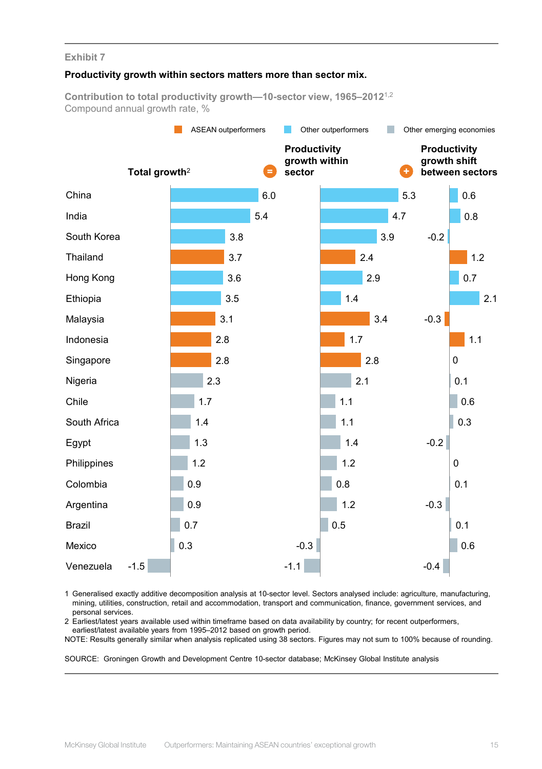#### **Productivity growth within sectors matters more than sector mix.**

**Contribution to total productivity growth—10-sector view, 1965–2012**1,2 Compound annual growth rate, %



1 Generalised exactly additive decomposition analysis at 10-sector level. Sectors analysed include: agriculture, manufacturing, mining, utilities, construction, retail and accommodation, transport and communication, finance, government services, and personal services.

2 Earliest/latest years available used within timeframe based on data availability by country; for recent outperformers, earliest/latest available years from 1995–2012 based on growth period.

NOTE: Results generally similar when analysis replicated using 38 sectors. Figures may not sum to 100% because of rounding.

SOURCE: Groningen Growth and Development Centre 10-sector database; McKinsey Global Institute analysis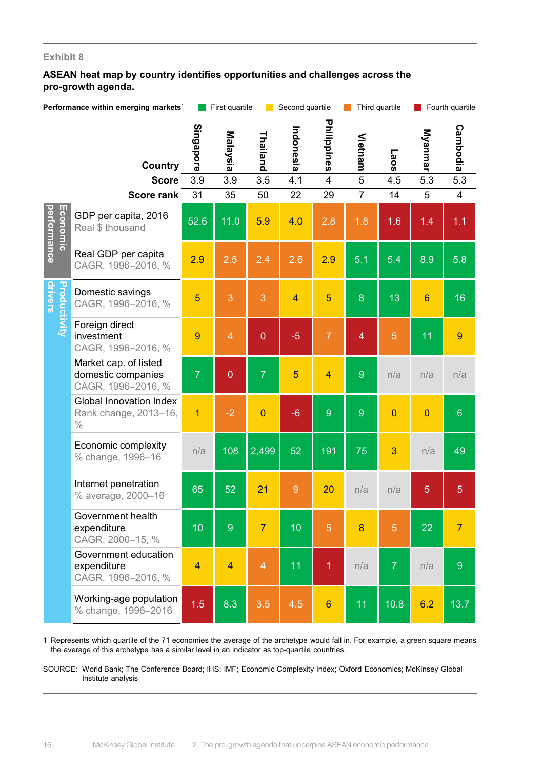# **ASEAN heat map by country identifies opportunities and challenges across the pro-growth agenda.**

|                                | Performance within emerging markets <sup>1</sup>                         | First quartile |                |                  | Second quartile |                         | Third quartile |                | Fourth quartile |                |
|--------------------------------|--------------------------------------------------------------------------|----------------|----------------|------------------|-----------------|-------------------------|----------------|----------------|-----------------|----------------|
|                                | <b>Country</b>                                                           | Singapore      | Malaysia       | Thailand         | Indonesia       | Philippines             | Vietnam        | Laos           | Myanmar         | Cambodia       |
|                                | <b>Score</b>                                                             | 3.9            | 3.9            | $\overline{3.5}$ | 4.1             | $\overline{\mathbf{4}}$ | $\overline{5}$ | 4.5            | 5.3             | 5.3            |
|                                | <b>Score rank</b>                                                        | 31             | 35             | 50               | 22              | 29                      | $\overline{7}$ | 14             | 5               | 4              |
| performance<br><u>Economic</u> | GDP per capita, 2016<br>Real \$ thousand                                 | 52.6           | 11.0           | 5.9              | 4.0             | 2.8                     | 1.8            | 1.6            | 1.4             | 1.1            |
|                                | Real GDP per capita<br>CAGR, 1996-2016, %                                | 2.9            | 2.5            | 2.4              | 2.6             | 2.9                     | 5.1            | 5.4            | 8.9             | 5.8            |
| drivers<br><b>Product</b>      | Domestic savings<br>CAGR, 1996-2016, %                                   | 5              | 3              | 3                | $\overline{4}$  | 5                       | 8              | 13             | $6\phantom{1}6$ | 16             |
|                                | Foreign direct<br>investment<br>CAGR, 1996-2016, %                       | 9              | $\overline{4}$ | $\overline{0}$   | $-5$            | $\overline{7}$          | $\overline{4}$ | 5              | 11              | 9              |
|                                | Market cap. of listed<br>domestic companies<br>CAGR, 1996-2016, %        | $\overline{7}$ | $\overline{0}$ | $\overline{7}$   | 5               | $\overline{4}$          | $\overline{9}$ | n/a            | n/a             | n/a            |
|                                | <b>Global Innovation Index</b><br>Rank change, 2013-16,<br>$\frac{0}{0}$ | $\overline{1}$ | $-2$           | $\overline{0}$   | $-6$            | 9                       | 9              | $\overline{0}$ | $\overline{0}$  | $6\phantom{1}$ |
|                                | Economic complexity<br>% change, 1996-16                                 | n/a            | 108            | 2,499            | 52              | 191                     | 75             | 3              | n/a             | 49             |
|                                | Internet penetration<br>% average, 2000-16                               | 65             | 52             | 21               | $\overline{9}$  | 20                      | n/a            | n/a            | 5               | 5              |
|                                | Government health<br>expenditure<br>CAGR, 2000-15, %                     | 10             | 9              | $\overline{7}$   | 10              | 5                       | 8              | 5              | 22              | $\overline{7}$ |
|                                | Government education<br>expenditure<br>CAGR, 1996-2016, %                | $\overline{4}$ | $\overline{4}$ | $\overline{4}$   | 11              | 1                       | n/a            | $\overline{7}$ | n/a             | $\overline{9}$ |
|                                | Working-age population<br>% change, 1996-2016                            | 1.5            | 8.3            | 3.5              | 4.5             | $6\phantom{1}$          | 11             | 10.8           | 6.2             | 13.7           |

1 Represents which quartile of the 71 economies the average of the archetype would fall in. For example, a green square means the average of this archetype has a similar level in an indicator as top-quartile countries.

#### SOURCE: World Bank; The Conference Board; IHS; IMF; Economic Complexity Index; Oxford Economics; McKinsey Global Institute analysis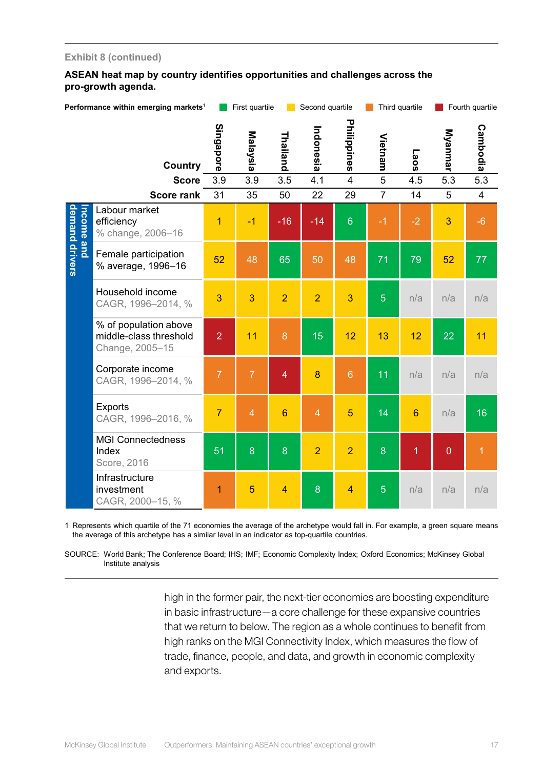# **ASEAN heat map by country identifies opportunities and challenges across the pro-growth agenda.**

| Performance within emerging markets <sup>1</sup> |                                                                    |                                                  |                | First quartile |                 | Second quartile |                 |                | Third quartile  |                  | Fourth quartile  |
|--------------------------------------------------|--------------------------------------------------------------------|--------------------------------------------------|----------------|----------------|-----------------|-----------------|-----------------|----------------|-----------------|------------------|------------------|
|                                                  |                                                                    | Country                                          | Singapore      | Malaysia       | Thailand        | Indonesia       | Philippines     | Vietnam        | Laos            | Myanmar          | Cambodia         |
|                                                  |                                                                    | <b>Score</b>                                     | 3.9            | 3.9            | 3.5             | 4.1             | $\overline{4}$  | $\overline{5}$ | 4.5             | $\overline{5.3}$ | $\overline{5.3}$ |
|                                                  |                                                                    | <b>Score rank</b>                                | 31             | 35             | 50              | 22              | 29              | $\overline{7}$ | 14              | 5                | $\overline{4}$   |
|                                                  | <b>ncome and</b>                                                   | Labour market<br>efficiency<br>% change, 2006-16 | 1              | $-1$           | $-16$           | $-14$           | $6\phantom{1}6$ | $-1$           | $-2$            | 3                | $-6$             |
| demand drivers                                   |                                                                    | Female participation<br>% average, 1996-16       | 52             | 48             | 65              | 50              | 48              | 71             | 79              | 52               | 77               |
|                                                  | Household income<br>CAGR, 1996-2014, %                             | 3                                                | 3              | $\overline{2}$ | $\overline{2}$  | 3               | 5               | n/a            | n/a             | n/a              |                  |
|                                                  | % of population above<br>middle-class threshold<br>Change, 2005-15 | $\overline{2}$                                   | 11             | 8              | 15              | 12              | 13              | 12             | 22              | 11               |                  |
|                                                  |                                                                    | Corporate income<br>CAGR, 1996-2014, %           | $\overline{7}$ | $\overline{7}$ | $\overline{4}$  | 8               | $6\phantom{1}6$ | 11             | n/a             | n/a              | n/a              |
|                                                  |                                                                    | <b>Exports</b><br>CAGR, 1996-2016, %             | $\overline{7}$ | $\overline{4}$ | $6\phantom{1}6$ | $\overline{4}$  | 5               | 14             | $6\phantom{1}6$ | n/a              | 16               |
|                                                  |                                                                    | <b>MGI Connectedness</b><br>Index<br>Score, 2016 | 51             | 8              | 8               | $\overline{2}$  | $\overline{2}$  | 8              | 1               | $\overline{0}$   | $\overline{1}$   |
|                                                  |                                                                    | Infrastructure<br>investment<br>CAGR, 2000-15, % | 1              | 5              | $\overline{4}$  | 8               | $\overline{4}$  | 5              | n/a             | n/a              | n/a              |

1 Represents which quartile of the 71 economies the average of the archetype would fall in. For example, a green square means the average of this archetype has a similar level in an indicator as top-quartile countries.

SOURCE: World Bank; The Conference Board; IHS; IMF; Economic Complexity Index; Oxford Economics; McKinsey Global Institute analysis

> high in the former pair, the next-tier economies are boosting expenditure in basic infrastructure—a core challenge for these expansive countries that we return to below. The region as a whole continues to benefit from high ranks on the MGI Connectivity Index, which measures the flow of trade, finance, people, and data, and growth in economic complexity and exports.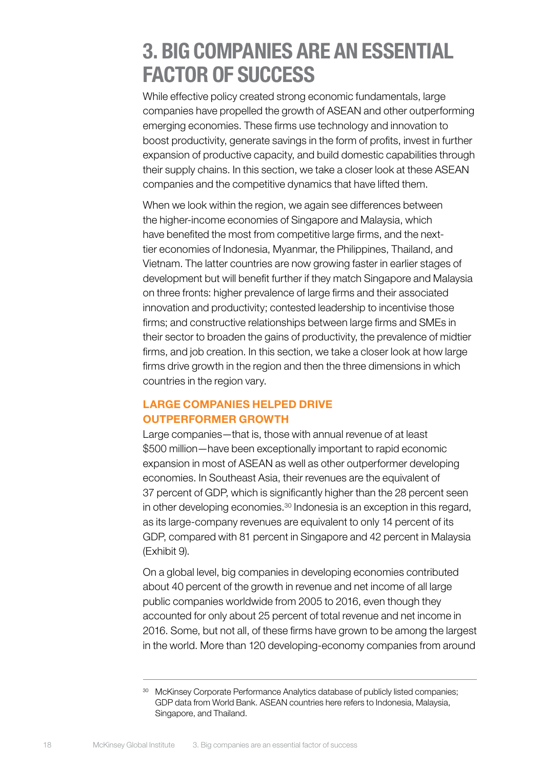# <span id="page-19-0"></span>3. BIG COMPANIES ARE AN ESSENTIAL FACTOR OF SUCCESS

While effective policy created strong economic fundamentals, large companies have propelled the growth of ASEAN and other outperforming emerging economies. These firms use technology and innovation to boost productivity, generate savings in the form of profits, invest in further expansion of productive capacity, and build domestic capabilities through their supply chains. In this section, we take a closer look at these ASEAN companies and the competitive dynamics that have lifted them.

When we look within the region, we again see differences between the higher-income economies of Singapore and Malaysia, which have benefited the most from competitive large firms, and the nexttier economies of Indonesia, Myanmar, the Philippines, Thailand, and Vietnam. The latter countries are now growing faster in earlier stages of development but will benefit further if they match Singapore and Malaysia on three fronts: higher prevalence of large firms and their associated innovation and productivity; contested leadership to incentivise those firms; and constructive relationships between large firms and SMEs in their sector to broaden the gains of productivity, the prevalence of midtier firms, and job creation. In this section, we take a closer look at how large firms drive growth in the region and then the three dimensions in which countries in the region vary.

# LARGE COMPANIES HELPED DRIVE OUTPERFORMER GROWTH

Large companies—that is, those with annual revenue of at least \$500 million—have been exceptionally important to rapid economic expansion in most of ASEAN as well as other outperformer developing economies. In Southeast Asia, their revenues are the equivalent of 37 percent of GDP, which is significantly higher than the 28 percent seen in other developing economies.<sup>30</sup> Indonesia is an exception in this regard, as its large-company revenues are equivalent to only 14 percent of its GDP, compared with 81 percent in Singapore and 42 percent in Malaysia (Exhibit 9).

On a global level, big companies in developing economies contributed about 40 percent of the growth in revenue and net income of all large public companies worldwide from 2005 to 2016, even though they accounted for only about 25 percent of total revenue and net income in 2016. Some, but not all, of these firms have grown to be among the largest in the world. More than 120 developing-economy companies from around

<sup>&</sup>lt;sup>30</sup> McKinsey Corporate Performance Analytics database of publicly listed companies; GDP data from World Bank. ASEAN countries here refers to Indonesia, Malaysia, Singapore, and Thailand.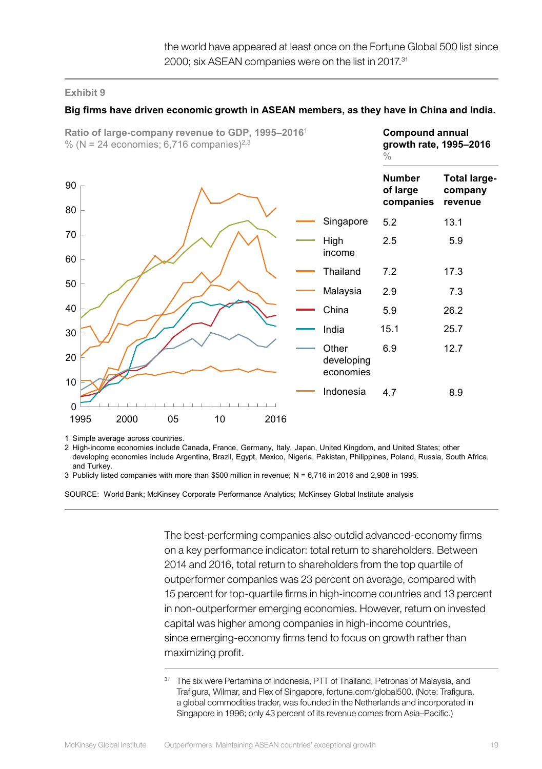# **Big firms have driven economic growth in ASEAN members, as they have in China and India.**

|              |      |      |    | Ratio of large-company revenue to GDP, 1995–2016 $^1$<br>% (N = 24 economies; 6,716 companies) <sup>2,3</sup> |      |                                  | <b>Compound annual</b><br>growth rate, 1995-2016<br>$\%$ |                                           |
|--------------|------|------|----|---------------------------------------------------------------------------------------------------------------|------|----------------------------------|----------------------------------------------------------|-------------------------------------------|
| 90<br>80     |      |      |    |                                                                                                               |      |                                  | <b>Number</b><br>of large<br>companies                   | <b>Total large-</b><br>company<br>revenue |
|              |      |      |    |                                                                                                               |      | Singapore                        | 5.2                                                      | 13.1                                      |
| 70<br>60     |      |      |    |                                                                                                               |      | High<br>income                   | 2.5                                                      | 5.9                                       |
|              |      |      |    |                                                                                                               |      | Thailand                         | 7.2                                                      | 17.3                                      |
| 50           |      |      |    |                                                                                                               |      | Malaysia                         | 2.9                                                      | 7.3                                       |
| 40           |      |      |    |                                                                                                               |      | China                            | 5.9                                                      | 26.2                                      |
| 30           |      |      |    |                                                                                                               |      | India                            | 15.1                                                     | 25.7                                      |
| 20           |      |      |    |                                                                                                               |      | Other<br>developing<br>economies | 6.9                                                      | 12.7                                      |
| 10           |      |      |    |                                                                                                               |      | Indonesia                        | 4.7                                                      | 8.9                                       |
| $\mathbf{0}$ |      |      |    |                                                                                                               |      |                                  |                                                          |                                           |
|              | 1995 | 2000 | 05 | 10                                                                                                            | 2016 |                                  |                                                          |                                           |

1 Simple average across countries.

2 High-income economies include Canada, France, Germany, Italy, Japan, United Kingdom, and United States; other developing economies include Argentina, Brazil, Egypt, Mexico, Nigeria, Pakistan, Philippines, Poland, Russia, South Africa, and Turkey.

3 Publicly listed companies with more than \$500 million in revenue; N = 6,716 in 2016 and 2,908 in 1995.

SOURCE: World Bank; McKinsey Corporate Performance Analytics; McKinsey Global Institute analysis

The best-performing companies also outdid advanced-economy firms on a key performance indicator: total return to shareholders. Between 2014 and 2016, total return to shareholders from the top quartile of outperformer companies was 23 percent on average, compared with 15 percent for top-quartile firms in high-income countries and 13 percent in non-outperformer emerging economies. However, return on invested capital was higher among companies in high-income countries, since emerging-economy firms tend to focus on growth rather than maximizing profit.

<sup>31</sup> The six were Pertamina of Indonesia, PTT of Thailand, Petronas of Malaysia, and Trafigura, Wilmar, and Flex of Singapore, fortune.com/global500. (Note: Trafigura, a global commodities trader, was founded in the Netherlands and incorporated in Singapore in 1996; only 43 percent of its revenue comes from Asia–Pacific.)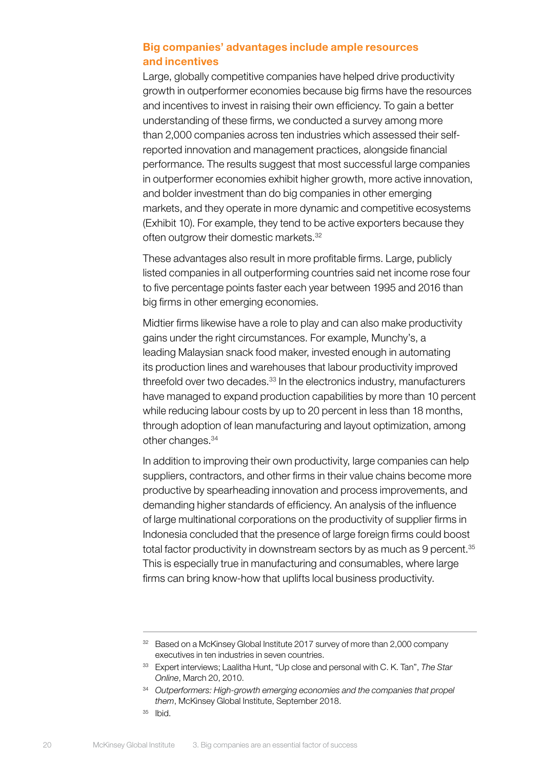# Big companies' advantages include ample resources and incentives

Large, globally competitive companies have helped drive productivity growth in outperformer economies because big firms have the resources and incentives to invest in raising their own efficiency. To gain a better understanding of these firms, we conducted a survey among more than 2,000 companies across ten industries which assessed their selfreported innovation and management practices, alongside financial performance. The results suggest that most successful large companies in outperformer economies exhibit higher growth, more active innovation, and bolder investment than do big companies in other emerging markets, and they operate in more dynamic and competitive ecosystems (Exhibit 10). For example, they tend to be active exporters because they often outgrow their domestic markets.32

These advantages also result in more profitable firms. Large, publicly listed companies in all outperforming countries said net income rose four to five percentage points faster each year between 1995 and 2016 than big firms in other emerging economies.

Midtier firms likewise have a role to play and can also make productivity gains under the right circumstances. For example, Munchy's, a leading Malaysian snack food maker, invested enough in automating its production lines and warehouses that labour productivity improved threefold over two decades.<sup>33</sup> In the electronics industry, manufacturers have managed to expand production capabilities by more than 10 percent while reducing labour costs by up to 20 percent in less than 18 months, through adoption of lean manufacturing and layout optimization, among other changes.34

In addition to improving their own productivity, large companies can help suppliers, contractors, and other firms in their value chains become more productive by spearheading innovation and process improvements, and demanding higher standards of efficiency. An analysis of the influence of large multinational corporations on the productivity of supplier firms in Indonesia concluded that the presence of large foreign firms could boost total factor productivity in downstream sectors by as much as 9 percent.<sup>35</sup> This is especially true in manufacturing and consumables, where large firms can bring know-how that uplifts local business productivity.

<sup>&</sup>lt;sup>32</sup> Based on a McKinsey Global Institute 2017 survey of more than 2,000 company executives in ten industries in seven countries.

<sup>33</sup> Expert interviews; Laalitha Hunt, "Up close and personal with C. K. Tan", *The Star Online*, March 20, 2010.

<sup>34</sup> *Outperformers: High-growth emerging economies and the companies that propel them*, McKinsey Global Institute, September 2018.

<sup>35</sup> Ibid.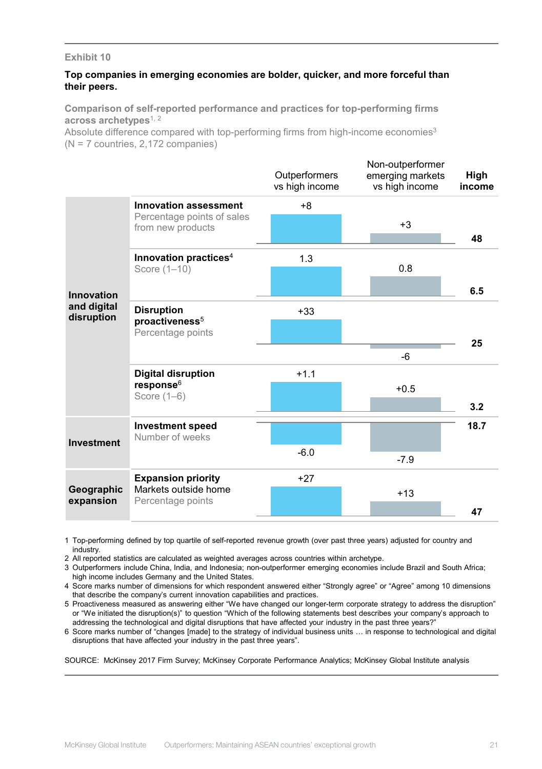### **Top companies in emerging economies are bolder, quicker, and more forceful than their peers.**

**Comparison of self-reported performance and practices for top-performing firms across archetypes**1, 2

Absolute difference compared with top-performing firms from high-income economies<sup>3</sup> (N = 7 countries, 2,172 companies)

|                           |                                                 | Outperformers<br>vs high income | Non-outperformer<br>emerging markets<br>vs high income | High<br>income |
|---------------------------|-------------------------------------------------|---------------------------------|--------------------------------------------------------|----------------|
|                           | <b>Innovation assessment</b>                    | $+8$                            |                                                        |                |
|                           | Percentage points of sales<br>from new products |                                 | $+3$                                                   |                |
|                           |                                                 |                                 |                                                        | 48             |
|                           | Innovation practices <sup>4</sup>               | 1.3                             |                                                        |                |
|                           | Score (1-10)                                    |                                 | 0.8                                                    |                |
| Innovation                |                                                 |                                 |                                                        | 6.5            |
| and digital<br>disruption | <b>Disruption</b>                               | $+33$                           |                                                        |                |
|                           | proactiveness <sup>5</sup><br>Percentage points |                                 |                                                        |                |
|                           |                                                 |                                 |                                                        | 25             |
|                           |                                                 |                                 | $-6$                                                   |                |
|                           | <b>Digital disruption</b>                       | $+1.1$                          |                                                        |                |
|                           | response <sup>6</sup><br>Score (1-6)            |                                 | $+0.5$                                                 |                |
|                           |                                                 |                                 |                                                        | 3.2            |
| <b>Investment</b>         | <b>Investment speed</b><br>Number of weeks      |                                 |                                                        | 18.7           |
|                           |                                                 | $-6.0$                          | $-7.9$                                                 |                |
|                           | <b>Expansion priority</b>                       | $+27$                           |                                                        |                |
| Geographic<br>expansion   | Markets outside home<br>Percentage points       |                                 | $+13$                                                  |                |
|                           |                                                 |                                 |                                                        | 47             |

1 Top-performing defined by top quartile of self-reported revenue growth (over past three years) adjusted for country and industry.

2 All reported statistics are calculated as weighted averages across countries within archetype.

3 Outperformers include China, India, and Indonesia; non-outperformer emerging economies include Brazil and South Africa; high income includes Germany and the United States.

4 Score marks number of dimensions for which respondent answered either "Strongly agree" or "Agree" among 10 dimensions that describe the company's current innovation capabilities and practices.

5 Proactiveness measured as answering either "We have changed our longer-term corporate strategy to address the disruption" or "We initiated the disruption(s)" to question "Which of the following statements best describes your company's approach to addressing the technological and digital disruptions that have affected your industry in the past three years?"

6 Score marks number of "changes [made] to the strategy of individual business units … in response to technological and digital disruptions that have affected your industry in the past three years".

SOURCE: McKinsey 2017 Firm Survey; McKinsey Corporate Performance Analytics; McKinsey Global Institute analysis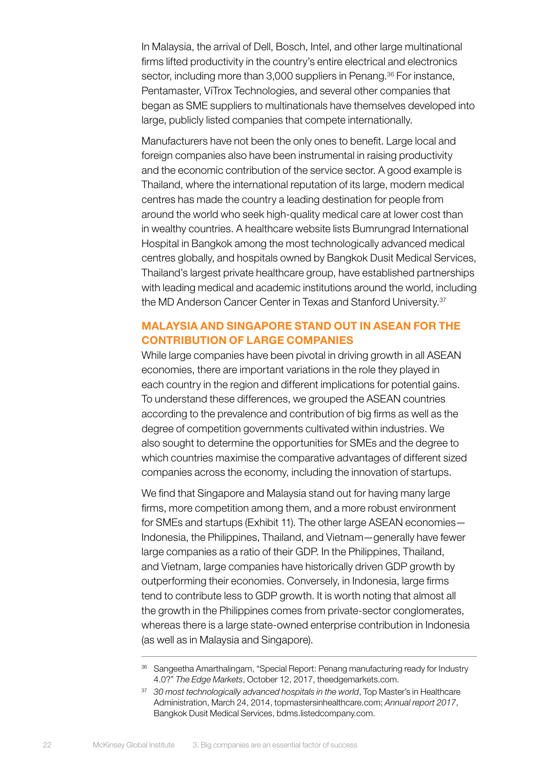In Malaysia, the arrival of Dell, Bosch, Intel, and other large multinational firms lifted productivity in the country's entire electrical and electronics sector, including more than 3,000 suppliers in Penang.<sup>36</sup> For instance, Pentamaster, ViTrox Technologies, and several other companies that began as SME suppliers to multinationals have themselves developed into large, publicly listed companies that compete internationally.

Manufacturers have not been the only ones to benefit. Large local and foreign companies also have been instrumental in raising productivity and the economic contribution of the service sector. A good example is Thailand, where the international reputation of its large, modern medical centres has made the country a leading destination for people from around the world who seek high-quality medical care at lower cost than in wealthy countries. A healthcare website lists Bumrungrad International Hospital in Bangkok among the most technologically advanced medical centres globally, and hospitals owned by Bangkok Dusit Medical Services, Thailand's largest private healthcare group, have established partnerships with leading medical and academic institutions around the world, including the MD Anderson Cancer Center in Texas and Stanford University.<sup>37</sup>

# MALAYSIA AND SINGAPORE STAND OUT IN ASEAN FOR THE CONTRIBUTION OF LARGE COMPANIES

While large companies have been pivotal in driving growth in all ASEAN economies, there are important variations in the role they played in each country in the region and different implications for potential gains. To understand these differences, we grouped the ASEAN countries according to the prevalence and contribution of big firms as well as the degree of competition governments cultivated within industries. We also sought to determine the opportunities for SMEs and the degree to which countries maximise the comparative advantages of different sized companies across the economy, including the innovation of startups.

We find that Singapore and Malaysia stand out for having many large firms, more competition among them, and a more robust environment for SMEs and startups (Exhibit 11). The other large ASEAN economies— Indonesia, the Philippines, Thailand, and Vietnam—generally have fewer large companies as a ratio of their GDP. In the Philippines, Thailand, and Vietnam, large companies have historically driven GDP growth by outperforming their economies. Conversely, in Indonesia, large firms tend to contribute less to GDP growth. It is worth noting that almost all the growth in the Philippines comes from private-sector conglomerates, whereas there is a large state-owned enterprise contribution in Indonesia (as well as in Malaysia and Singapore).

<sup>36</sup> Sangeetha Amarthalingam, "Special Report: Penang manufacturing ready for Industry 4.0?" *The Edge Markets*, October 12, 2017, theedgemarkets.com.

<sup>&</sup>lt;sup>37</sup> 30 most technologically advanced hospitals in the world, Top Master's in Healthcare Administration, March 24, 2014, topmastersinhealthcare.com; *Annual report 2017*, Bangkok Dusit Medical Services, bdms.listedcompany.com.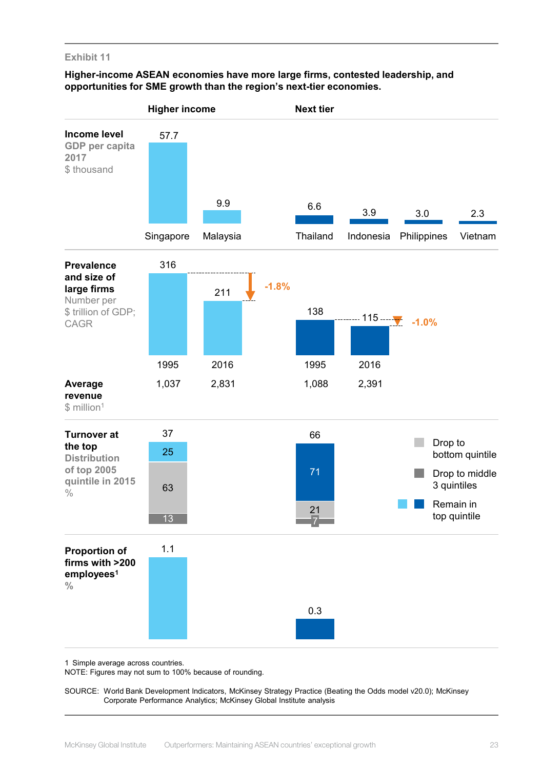### **Higher-income ASEAN economies have more large firms, contested leadership, and opportunities for SME growth than the region's next-tier economies.**



1 Simple average across countries.

NOTE: Figures may not sum to 100% because of rounding.

SOURCE: World Bank Development Indicators, McKinsey Strategy Practice (Beating the Odds model v20.0); McKinsey Corporate Performance Analytics; McKinsey Global Institute analysis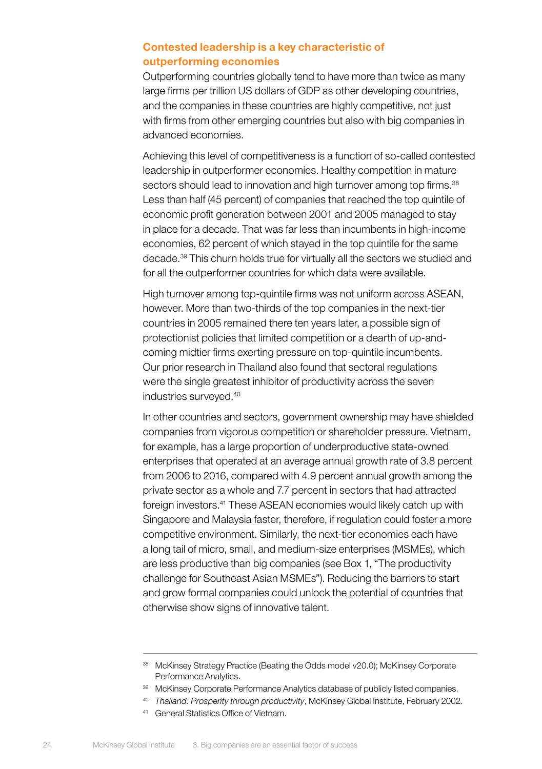# Contested leadership is a key characteristic of outperforming economies

Outperforming countries globally tend to have more than twice as many large firms per trillion US dollars of GDP as other developing countries, and the companies in these countries are highly competitive, not just with firms from other emerging countries but also with big companies in advanced economies.

Achieving this level of competitiveness is a function of so-called contested leadership in outperformer economies. Healthy competition in mature sectors should lead to innovation and high turnover among top firms.<sup>38</sup> Less than half (45 percent) of companies that reached the top quintile of economic profit generation between 2001 and 2005 managed to stay in place for a decade. That was far less than incumbents in high-income economies, 62 percent of which stayed in the top quintile for the same decade.39 This churn holds true for virtually all the sectors we studied and for all the outperformer countries for which data were available.

High turnover among top-quintile firms was not uniform across ASEAN, however. More than two-thirds of the top companies in the next-tier countries in 2005 remained there ten years later, a possible sign of protectionist policies that limited competition or a dearth of up-andcoming midtier firms exerting pressure on top-quintile incumbents. Our prior research in Thailand also found that sectoral regulations were the single greatest inhibitor of productivity across the seven industries surveyed.40

In other countries and sectors, government ownership may have shielded companies from vigorous competition or shareholder pressure. Vietnam, for example, has a large proportion of underproductive state-owned enterprises that operated at an average annual growth rate of 3.8 percent from 2006 to 2016, compared with 4.9 percent annual growth among the private sector as a whole and 7.7 percent in sectors that had attracted foreign investors.41 These ASEAN economies would likely catch up with Singapore and Malaysia faster, therefore, if regulation could foster a more competitive environment. Similarly, the next-tier economies each have a long tail of micro, small, and medium-size enterprises (MSMEs), which are less productive than big companies (see Box 1, "The productivity challenge for Southeast Asian MSMEs"). Reducing the barriers to start and grow formal companies could unlock the potential of countries that otherwise show signs of innovative talent.

<sup>41</sup> General Statistics Office of Vietnam.

<sup>38</sup> McKinsey Strategy Practice (Beating the Odds model v20.0); McKinsey Corporate Performance Analytics.

<sup>39</sup> McKinsey Corporate Performance Analytics database of publicly listed companies.

<sup>40</sup> *Thailand: Prosperity through productivity*, McKinsey Global Institute, February 2002.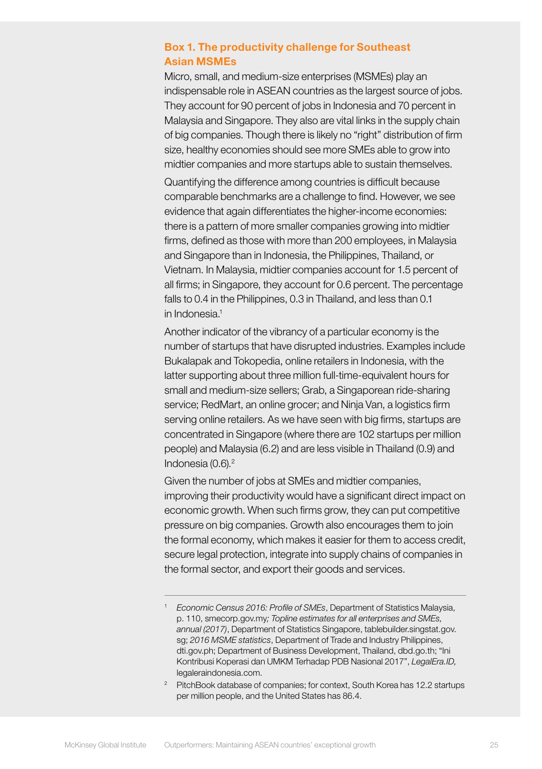# Box 1. The productivity challenge for Southeast Asian MSMEs

Micro, small, and medium-size enterprises (MSMEs) play an indispensable role in ASEAN countries as the largest source of jobs. They account for 90 percent of jobs in Indonesia and 70 percent in Malaysia and Singapore. They also are vital links in the supply chain of big companies. Though there is likely no "right" distribution of firm size, healthy economies should see more SMEs able to grow into midtier companies and more startups able to sustain themselves.

Quantifying the difference among countries is difficult because comparable benchmarks are a challenge to find. However, we see evidence that again differentiates the higher-income economies: there is a pattern of more smaller companies growing into midtier firms, defined as those with more than 200 employees, in Malaysia and Singapore than in Indonesia, the Philippines, Thailand, or Vietnam. In Malaysia, midtier companies account for 1.5 percent of all firms; in Singapore, they account for 0.6 percent. The percentage falls to 0.4 in the Philippines, 0.3 in Thailand, and less than 0.1 in Indonesia<sup>1</sup>

Another indicator of the vibrancy of a particular economy is the number of startups that have disrupted industries. Examples include Bukalapak and Tokopedia, online retailers in Indonesia, with the latter supporting about three million full-time-equivalent hours for small and medium-size sellers; Grab, a Singaporean ride-sharing service; RedMart, an online grocer; and Ninja Van, a logistics firm serving online retailers. As we have seen with big firms, startups are concentrated in Singapore (where there are 102 startups per million people) and Malaysia (6.2) and are less visible in Thailand (0.9) and Indonesia  $(0.6)$ .<sup>2</sup>

Given the number of jobs at SMEs and midtier companies, improving their productivity would have a significant direct impact on economic growth. When such firms grow, they can put competitive pressure on big companies. Growth also encourages them to join the formal economy, which makes it easier for them to access credit, secure legal protection, integrate into supply chains of companies in the formal sector, and export their goods and services.

<sup>1</sup> *Economic Census 2016: Profile of SMEs*, Department of Statistics Malaysia, p. 110, smecorp.gov.my*; Topline estimates for all enterprises and SMEs, annual (2017)*, Department of Statistics Singapore, tablebuilder.singstat.gov. sg; *2016 MSME statistics*, Department of Trade and Industry Philippines, dti.gov.ph; Department of Business Development, Thailand, dbd.go.th; "Ini Kontribusi Koperasi dan UMKM Terhadap PDB Nasional 2017", *LegalEra.ID,*  legaleraindonesia.com.

<sup>&</sup>lt;sup>2</sup> PitchBook database of companies; for context, South Korea has 12.2 startups per million people, and the United States has 86.4.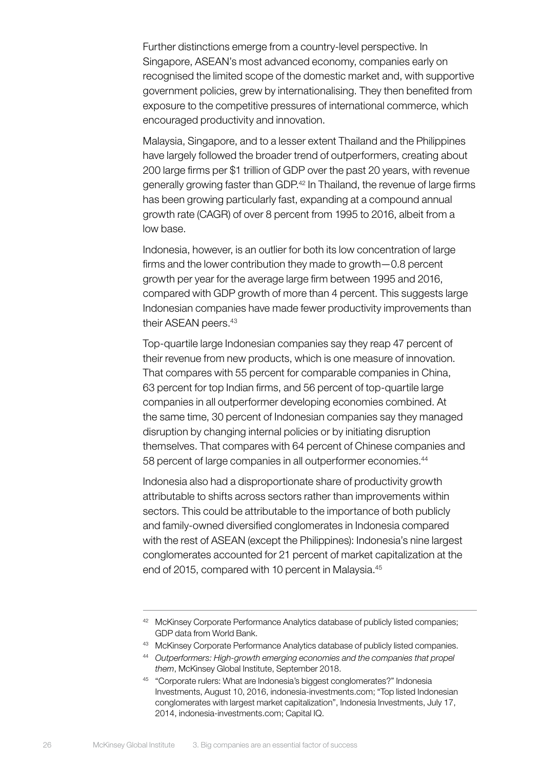Further distinctions emerge from a country-level perspective. In Singapore, ASEAN's most advanced economy, companies early on recognised the limited scope of the domestic market and, with supportive government policies, grew by internationalising. They then benefited from exposure to the competitive pressures of international commerce, which encouraged productivity and innovation.

Malaysia, Singapore, and to a lesser extent Thailand and the Philippines have largely followed the broader trend of outperformers, creating about 200 large firms per \$1 trillion of GDP over the past 20 years, with revenue generally growing faster than GDP.<sup>42</sup> In Thailand, the revenue of large firms has been growing particularly fast, expanding at a compound annual growth rate (CAGR) of over 8 percent from 1995 to 2016, albeit from a low base.

Indonesia, however, is an outlier for both its low concentration of large firms and the lower contribution they made to growth—0.8 percent growth per year for the average large firm between 1995 and 2016, compared with GDP growth of more than 4 percent. This suggests large Indonesian companies have made fewer productivity improvements than their ASEAN peers.43

Top-quartile large Indonesian companies say they reap 47 percent of their revenue from new products, which is one measure of innovation. That compares with 55 percent for comparable companies in China, 63 percent for top Indian firms, and 56 percent of top-quartile large companies in all outperformer developing economies combined. At the same time, 30 percent of Indonesian companies say they managed disruption by changing internal policies or by initiating disruption themselves. That compares with 64 percent of Chinese companies and 58 percent of large companies in all outperformer economies.<sup>44</sup>

Indonesia also had a disproportionate share of productivity growth attributable to shifts across sectors rather than improvements within sectors. This could be attributable to the importance of both publicly and family-owned diversified conglomerates in Indonesia compared with the rest of ASEAN (except the Philippines): Indonesia's nine largest conglomerates accounted for 21 percent of market capitalization at the end of 2015, compared with 10 percent in Malaysia.45

<sup>42</sup> McKinsey Corporate Performance Analytics database of publicly listed companies; GDP data from World Bank.

<sup>43</sup> McKinsey Corporate Performance Analytics database of publicly listed companies.

<sup>44</sup> *Outperformers: High-growth emerging economies and the companies that propel them*, McKinsey Global Institute, September 2018.

<sup>45</sup> "Corporate rulers: What are Indonesia's biggest conglomerates?" Indonesia Investments, August 10, 2016, indonesia-investments.com; "Top listed Indonesian conglomerates with largest market capitalization", Indonesia Investments, July 17, 2014, indonesia-investments.com; Capital IQ.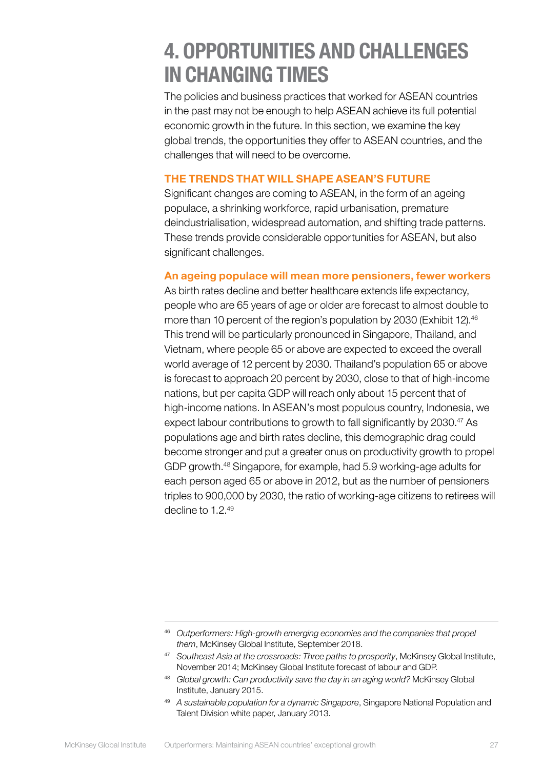# <span id="page-28-0"></span>4. OPPORTUNITIES AND CHALLENGES IN CHANGING TIMES

The policies and business practices that worked for ASEAN countries in the past may not be enough to help ASEAN achieve its full potential economic growth in the future. In this section, we examine the key global trends, the opportunities they offer to ASEAN countries, and the challenges that will need to be overcome.

# THE TRENDS THAT WILL SHAPE ASEAN'S FUTURE

Significant changes are coming to ASEAN, in the form of an ageing populace, a shrinking workforce, rapid urbanisation, premature deindustrialisation, widespread automation, and shifting trade patterns. These trends provide considerable opportunities for ASEAN, but also significant challenges.

# An ageing populace will mean more pensioners, fewer workers

As birth rates decline and better healthcare extends life expectancy, people who are 65 years of age or older are forecast to almost double to more than 10 percent of the region's population by 2030 (Exhibit 12).<sup>46</sup> This trend will be particularly pronounced in Singapore, Thailand, and Vietnam, where people 65 or above are expected to exceed the overall world average of 12 percent by 2030. Thailand's population 65 or above is forecast to approach 20 percent by 2030, close to that of high-income nations, but per capita GDP will reach only about 15 percent that of high-income nations. In ASEAN's most populous country, Indonesia, we expect labour contributions to growth to fall significantly by 2030.<sup>47</sup> As populations age and birth rates decline, this demographic drag could become stronger and put a greater onus on productivity growth to propel GDP growth.48 Singapore, for example, had 5.9 working-age adults for each person aged 65 or above in 2012, but as the number of pensioners triples to 900,000 by 2030, the ratio of working-age citizens to retirees will decline to 1.2.49

<sup>46</sup> *Outperformers: High-growth emerging economies and the companies that propel them*, McKinsey Global Institute, September 2018.

<sup>47</sup> *Southeast Asia at the crossroads: Three paths to prosperity*, McKinsey Global Institute, November 2014; McKinsey Global Institute forecast of labour and GDP.

<sup>48</sup> *Global growth: Can productivity save the day in an aging world?* McKinsey Global Institute, January 2015.

<sup>49</sup> *A sustainable population for a dynamic Singapore*, Singapore National Population and Talent Division white paper, January 2013.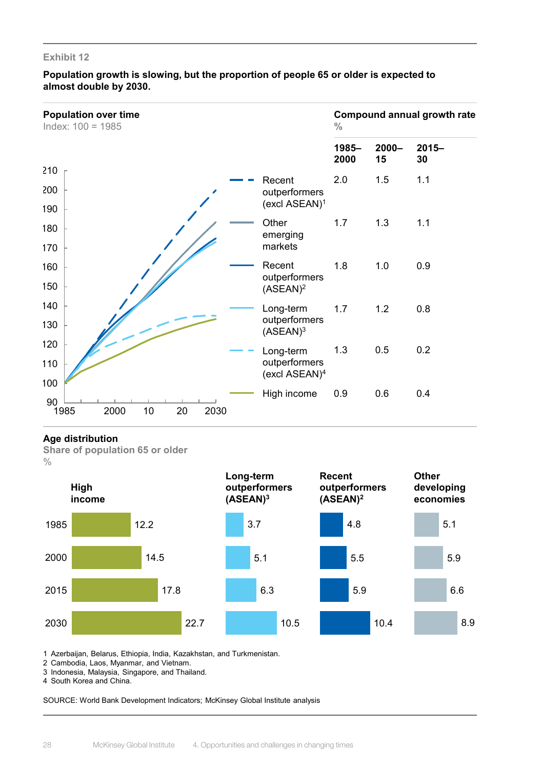# **Population growth is slowing, but the proportion of people 65 or older is expected to almost double by 2030.**

| <b>Population over time</b><br>Index: $100 = 1985$ |                                                         | $\frac{0}{0}$ |                | <b>Compound annual growth rate</b> |
|----------------------------------------------------|---------------------------------------------------------|---------------|----------------|------------------------------------|
|                                                    |                                                         | 1985-<br>2000 | $2000 -$<br>15 | $2015 -$<br>30                     |
| 210<br>200<br>190                                  | Recent<br>outperformers<br>(excl ASEAN) <sup>1</sup>    | 2.0           | 1.5            | 1.1                                |
| 180<br>170                                         | Other<br>emerging<br>markets                            | 1.7           | 1.3            | 1.1                                |
| 160<br>150                                         | Recent<br>outperformers<br>$(ASEAN)^2$                  | 1.8           | 1.0            | 0.9                                |
| 140<br>130                                         | Long-term<br>outperformers<br>(ASEAN) <sup>3</sup>      | 1.7           | 1.2            | 0.8                                |
| 120<br>110                                         | Long-term<br>outperformers<br>(excl ASEAN) <sup>4</sup> | 1.3           | 0.5            | 0.2                                |
| 100<br>90<br>2000<br>10<br>20<br>2030<br>1985      | High income                                             | 0.9           | 0.6            | 0.4                                |

# **Age distribution**

**Share of population 65 or older**  $\frac{0}{0}$ 



1 Azerbaijan, Belarus, Ethiopia, India, Kazakhstan, and Turkmenistan.

2 Cambodia, Laos, Myanmar, and Vietnam.

3 Indonesia, Malaysia, Singapore, and Thailand.

4 South Korea and China.

SOURCE: World Bank Development Indicators; McKinsey Global Institute analysis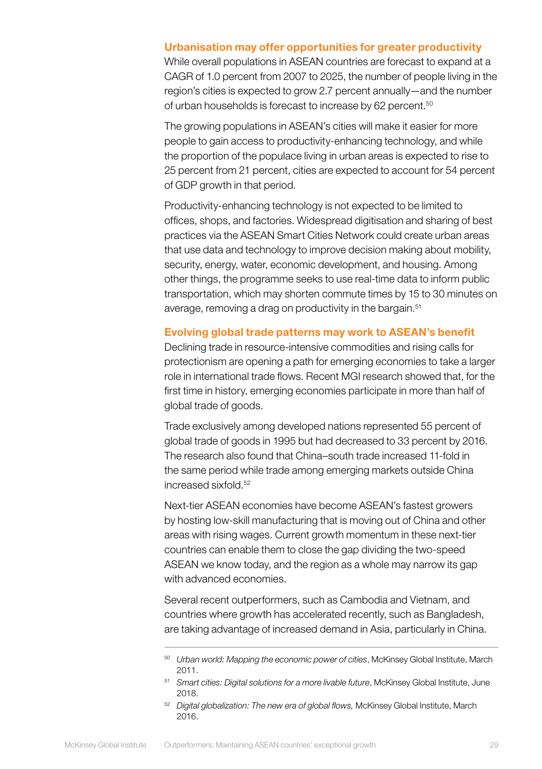# Urbanisation may offer opportunities for greater productivity

While overall populations in ASEAN countries are forecast to expand at a CAGR of 1.0 percent from 2007 to 2025, the number of people living in the region's cities is expected to grow 2.7 percent annually—and the number of urban households is forecast to increase by 62 percent.<sup>50</sup>

The growing populations in ASEAN's cities will make it easier for more people to gain access to productivity-enhancing technology, and while the proportion of the populace living in urban areas is expected to rise to 25 percent from 21 percent, cities are expected to account for 54 percent of GDP growth in that period.

Productivity-enhancing technology is not expected to be limited to offices, shops, and factories. Widespread digitisation and sharing of best practices via the ASEAN Smart Cities Network could create urban areas that use data and technology to improve decision making about mobility, security, energy, water, economic development, and housing. Among other things, the programme seeks to use real-time data to inform public transportation, which may shorten commute times by 15 to 30 minutes on average, removing a drag on productivity in the bargain.<sup>51</sup>

### Evolving global trade patterns may work to ASEAN's benefit

Declining trade in resource-intensive commodities and rising calls for protectionism are opening a path for emerging economies to take a larger role in international trade flows. Recent MGI research showed that, for the first time in history, emerging economies participate in more than half of global trade of goods.

Trade exclusively among developed nations represented 55 percent of global trade of goods in 1995 but had decreased to 33 percent by 2016. The research also found that China–south trade increased 11-fold in the same period while trade among emerging markets outside China increased sixfold.52

Next-tier ASEAN economies have become ASEAN's fastest growers by hosting low-skill manufacturing that is moving out of China and other areas with rising wages. Current growth momentum in these next-tier countries can enable them to close the gap dividing the two-speed ASEAN we know today, and the region as a whole may narrow its gap with advanced economies.

Several recent outperformers, such as Cambodia and Vietnam, and countries where growth has accelerated recently, such as Bangladesh, are taking advantage of increased demand in Asia, particularly in China.

<sup>50</sup> *Urban world: Mapping the economic power of cities*, McKinsey Global Institute, March 2011.

<sup>51</sup> *Smart cities: Digital solutions for a more livable future*, McKinsey Global Institute, June 2018.

<sup>52</sup> *Digital globalization: The new era of global flows,* McKinsey Global Institute, March 2016.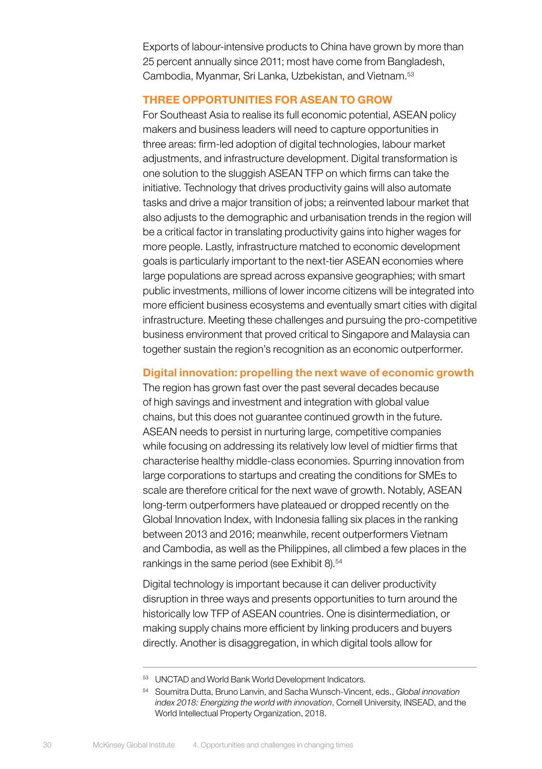Exports of labour-intensive products to China have grown by more than 25 percent annually since 2011; most have come from Bangladesh, Cambodia, Myanmar, Sri Lanka, Uzbekistan, and Vietnam.53

# THREE OPPORTUNITIES FOR ASEAN TO GROW

For Southeast Asia to realise its full economic potential, ASEAN policy makers and business leaders will need to capture opportunities in three areas: firm-led adoption of digital technologies, labour market adjustments, and infrastructure development. Digital transformation is one solution to the sluggish ASEAN TFP on which firms can take the initiative. Technology that drives productivity gains will also automate tasks and drive a major transition of jobs; a reinvented labour market that also adjusts to the demographic and urbanisation trends in the region will be a critical factor in translating productivity gains into higher wages for more people. Lastly, infrastructure matched to economic development goals is particularly important to the next-tier ASEAN economies where large populations are spread across expansive geographies; with smart public investments, millions of lower income citizens will be integrated into more efficient business ecosystems and eventually smart cities with digital infrastructure. Meeting these challenges and pursuing the pro-competitive business environment that proved critical to Singapore and Malaysia can together sustain the region's recognition as an economic outperformer.

# Digital innovation: propelling the next wave of economic growth

The region has grown fast over the past several decades because of high savings and investment and integration with global value chains, but this does not guarantee continued growth in the future. ASEAN needs to persist in nurturing large, competitive companies while focusing on addressing its relatively low level of midtier firms that characterise healthy middle-class economies. Spurring innovation from large corporations to startups and creating the conditions for SMEs to scale are therefore critical for the next wave of growth. Notably, ASEAN long-term outperformers have plateaued or dropped recently on the Global Innovation Index, with Indonesia falling six places in the ranking between 2013 and 2016; meanwhile, recent outperformers Vietnam and Cambodia, as well as the Philippines, all climbed a few places in the rankings in the same period (see Exhibit 8).<sup>54</sup>

Digital technology is important because it can deliver productivity disruption in three ways and presents opportunities to turn around the historically low TFP of ASEAN countries. One is disintermediation, or making supply chains more efficient by linking producers and buyers directly. Another is disaggregation, in which digital tools allow for

<sup>53</sup> UNCTAD and World Bank World Development Indicators.

<sup>54</sup> Soumitra Dutta, Bruno Lanvin, and Sacha Wunsch-Vincent, eds., *Global innovation index 2018: Energizing the world with innovation*, Cornell University, INSEAD, and the World Intellectual Property Organization, 2018.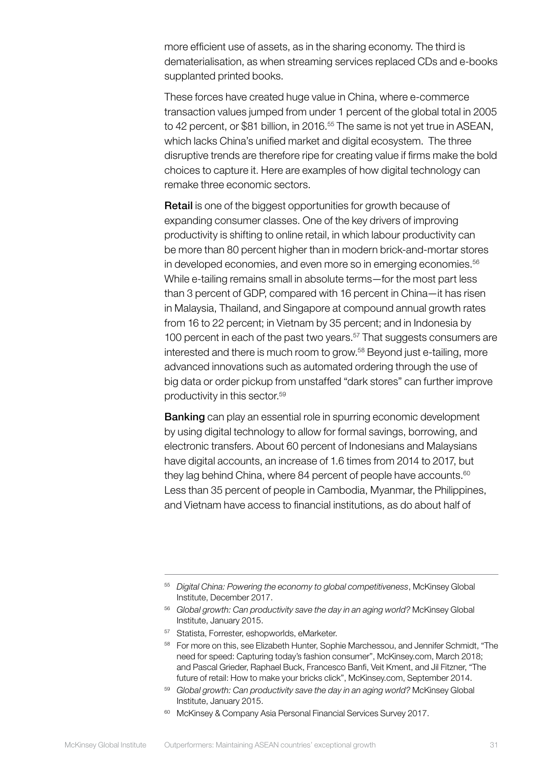more efficient use of assets, as in the sharing economy. The third is dematerialisation, as when streaming services replaced CDs and e-books supplanted printed books.

These forces have created huge value in China, where e-commerce transaction values jumped from under 1 percent of the global total in 2005 to 42 percent, or \$81 billion, in 2016.<sup>55</sup> The same is not yet true in ASEAN, which lacks China's unified market and digital ecosystem. The three disruptive trends are therefore ripe for creating value if firms make the bold choices to capture it. Here are examples of how digital technology can remake three economic sectors.

Retail is one of the biggest opportunities for growth because of expanding consumer classes. One of the key drivers of improving productivity is shifting to online retail, in which labour productivity can be more than 80 percent higher than in modern brick-and-mortar stores in developed economies, and even more so in emerging economies.<sup>56</sup> While e-tailing remains small in absolute terms—for the most part less than 3 percent of GDP, compared with 16 percent in China—it has risen in Malaysia, Thailand, and Singapore at compound annual growth rates from 16 to 22 percent; in Vietnam by 35 percent; and in Indonesia by 100 percent in each of the past two years.<sup>57</sup> That suggests consumers are interested and there is much room to grow.<sup>58</sup> Beyond just e-tailing, more advanced innovations such as automated ordering through the use of big data or order pickup from unstaffed "dark stores" can further improve productivity in this sector.59

**Banking** can play an essential role in spurring economic development by using digital technology to allow for formal savings, borrowing, and electronic transfers. About 60 percent of Indonesians and Malaysians have digital accounts, an increase of 1.6 times from 2014 to 2017, but they lag behind China, where 84 percent of people have accounts.<sup>60</sup> Less than 35 percent of people in Cambodia, Myanmar, the Philippines, and Vietnam have access to financial institutions, as do about half of

<sup>55</sup> *Digital China: Powering the economy to global competitiveness*, McKinsey Global Institute, December 2017.

<sup>56</sup> *Global growth: Can productivity save the day in an aging world?* McKinsey Global Institute, January 2015.

<sup>57</sup> Statista, Forrester, eshopworlds, eMarketer.

<sup>58</sup> For more on this, see Elizabeth Hunter, Sophie Marchessou, and Jennifer Schmidt, "The need for speed: Capturing today's fashion consumer", McKinsey.com, March 2018; and Pascal Grieder, Raphael Buck, Francesco Banfi, Veit Kment, and Jil Fitzner, "The future of retail: How to make your bricks click", McKinsey.com, September 2014.

<sup>59</sup> *Global growth: Can productivity save the day in an aging world?* McKinsey Global Institute, January 2015.

<sup>&</sup>lt;sup>60</sup> McKinsey & Company Asia Personal Financial Services Survey 2017.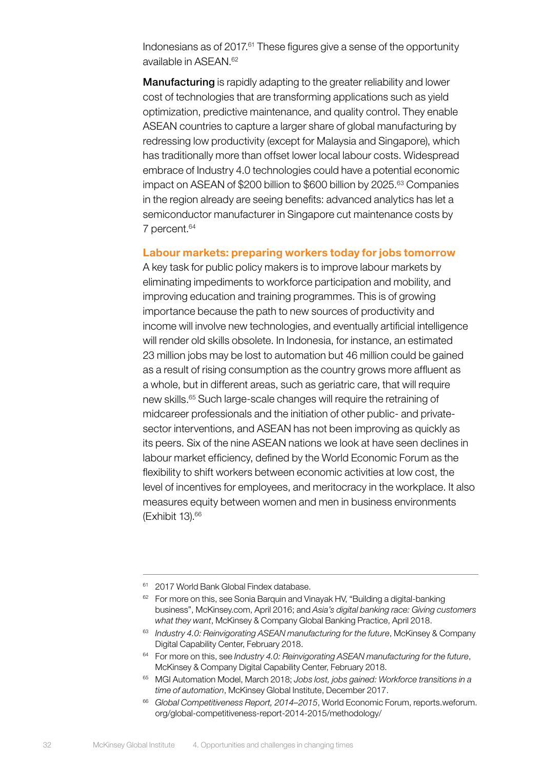Indonesians as of 2017.61 These figures give a sense of the opportunity available in ASEAN.62

Manufacturing is rapidly adapting to the greater reliability and lower cost of technologies that are transforming applications such as yield optimization, predictive maintenance, and quality control. They enable ASEAN countries to capture a larger share of global manufacturing by redressing low productivity (except for Malaysia and Singapore), which has traditionally more than offset lower local labour costs. Widespread embrace of Industry 4.0 technologies could have a potential economic impact on ASEAN of \$200 billion to \$600 billion by 2025.<sup>63</sup> Companies in the region already are seeing benefits: advanced analytics has let a semiconductor manufacturer in Singapore cut maintenance costs by 7 percent.64

# Labour markets: preparing workers today for jobs tomorrow

A key task for public policy makers is to improve labour markets by eliminating impediments to workforce participation and mobility, and improving education and training programmes. This is of growing importance because the path to new sources of productivity and income will involve new technologies, and eventually artificial intelligence will render old skills obsolete. In Indonesia, for instance, an estimated 23 million jobs may be lost to automation but 46 million could be gained as a result of rising consumption as the country grows more affluent as a whole, but in different areas, such as geriatric care, that will require new skills.65 Such large-scale changes will require the retraining of midcareer professionals and the initiation of other public- and privatesector interventions, and ASEAN has not been improving as quickly as its peers. Six of the nine ASEAN nations we look at have seen declines in labour market efficiency, defined by the World Economic Forum as the flexibility to shift workers between economic activities at low cost, the level of incentives for employees, and meritocracy in the workplace. It also measures equity between women and men in business environments (Exhibit 13).66

<sup>&</sup>lt;sup>61</sup> 2017 World Bank Global Findex database.

<sup>&</sup>lt;sup>62</sup> For more on this, see Sonia Barquin and Vinayak HV, "Building a digital-banking business", McKinsey.com, April 2016; and *Asia's digital banking race: Giving customers what they want*, McKinsey & Company Global Banking Practice, April 2018.

<sup>63</sup> *Industry 4.0: Reinvigorating ASEAN manufacturing for the future*, McKinsey & Company Digital Capability Center, February 2018.

<sup>64</sup> For more on this, see *Industry 4.0: Reinvigorating ASEAN manufacturing for the future*, McKinsey & Company Digital Capability Center, February 2018.

<sup>65</sup> MGI Automation Model, March 2018; *Jobs lost, jobs gained: Workforce transitions in a time of automation*, McKinsey Global Institute, December 2017.

<sup>66</sup> *Global Competitiveness Report, 2014–2015*, World Economic Forum, reports.weforum. org/global-competitiveness-report-2014-2015/methodology/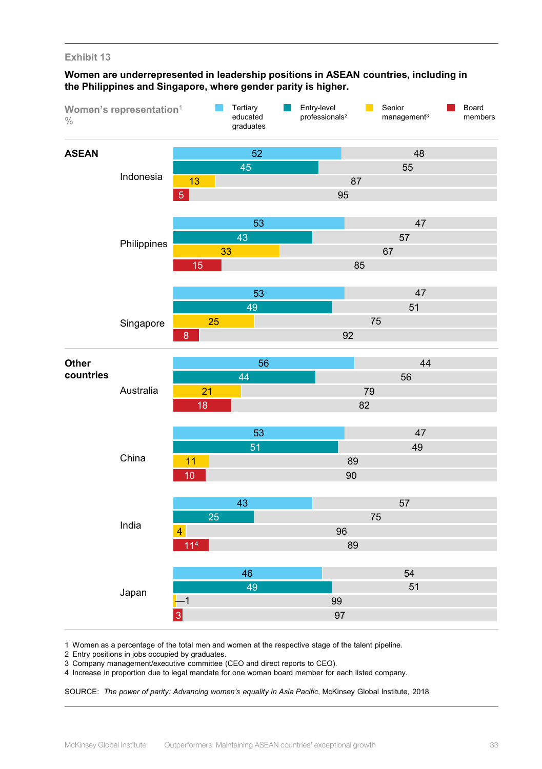# **Women are underrepresented in leadership positions in ASEAN countries, including in the Philippines and Singapore, where gender parity is higher.**



Women as a percentage of the total men and women at the respective stage of the talent pipeline.

Entry positions in jobs occupied by graduates.

Company management/executive committee (CEO and direct reports to CEO).

Increase in proportion due to legal mandate for one woman board member for each listed company.

SOURCE: *The power of parity: Advancing women's equality in Asia Pacific*, McKinsey Global Institute, 2018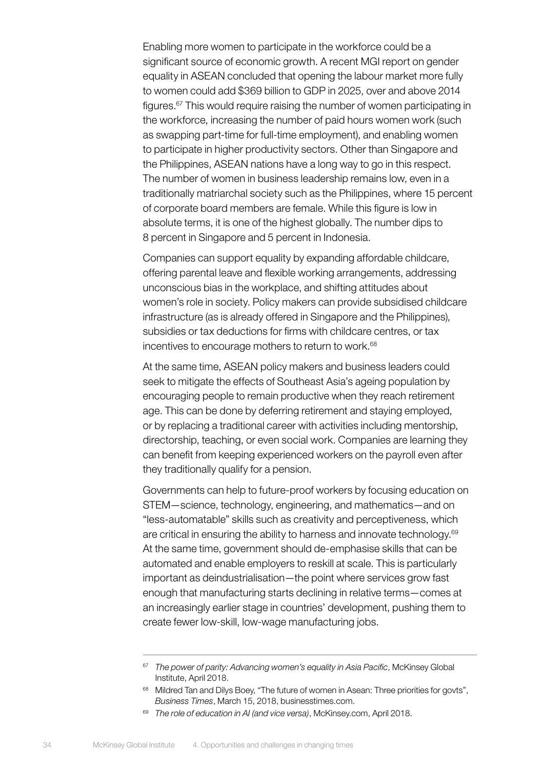Enabling more women to participate in the workforce could be a significant source of economic growth. A recent MGI report on gender equality in ASEAN concluded that opening the labour market more fully to women could add \$369 billion to GDP in 2025, over and above 2014 figures.67 This would require raising the number of women participating in the workforce, increasing the number of paid hours women work (such as swapping part-time for full-time employment), and enabling women to participate in higher productivity sectors. Other than Singapore and the Philippines, ASEAN nations have a long way to go in this respect. The number of women in business leadership remains low, even in a traditionally matriarchal society such as the Philippines, where 15 percent of corporate board members are female. While this figure is low in absolute terms, it is one of the highest globally. The number dips to 8 percent in Singapore and 5 percent in Indonesia.

Companies can support equality by expanding affordable childcare, offering parental leave and flexible working arrangements, addressing unconscious bias in the workplace, and shifting attitudes about women's role in society. Policy makers can provide subsidised childcare infrastructure (as is already offered in Singapore and the Philippines), subsidies or tax deductions for firms with childcare centres, or tax incentives to encourage mothers to return to work.<sup>68</sup>

At the same time, ASEAN policy makers and business leaders could seek to mitigate the effects of Southeast Asia's ageing population by encouraging people to remain productive when they reach retirement age. This can be done by deferring retirement and staying employed, or by replacing a traditional career with activities including mentorship, directorship, teaching, or even social work. Companies are learning they can benefit from keeping experienced workers on the payroll even after they traditionally qualify for a pension.

Governments can help to future-proof workers by focusing education on STEM—science, technology, engineering, and mathematics—and on "less-automatable" skills such as creativity and perceptiveness, which are critical in ensuring the ability to harness and innovate technology.<sup>69</sup> At the same time, government should de-emphasise skills that can be automated and enable employers to reskill at scale. This is particularly important as deindustrialisation—the point where services grow fast enough that manufacturing starts declining in relative terms—comes at an increasingly earlier stage in countries' development, pushing them to create fewer low-skill, low-wage manufacturing jobs.

<sup>67</sup> *The power of parity: Advancing women's equality in Asia Pacific*, McKinsey Global Institute, April 2018.

<sup>&</sup>lt;sup>68</sup> Mildred Tan and Dilys Boey, "The future of women in Asean: Three priorities for govts", *Business Times*, March 15, 2018, businesstimes.com.

<sup>69</sup> *The role of education in AI (and vice versa)*, McKinsey.com, April 2018.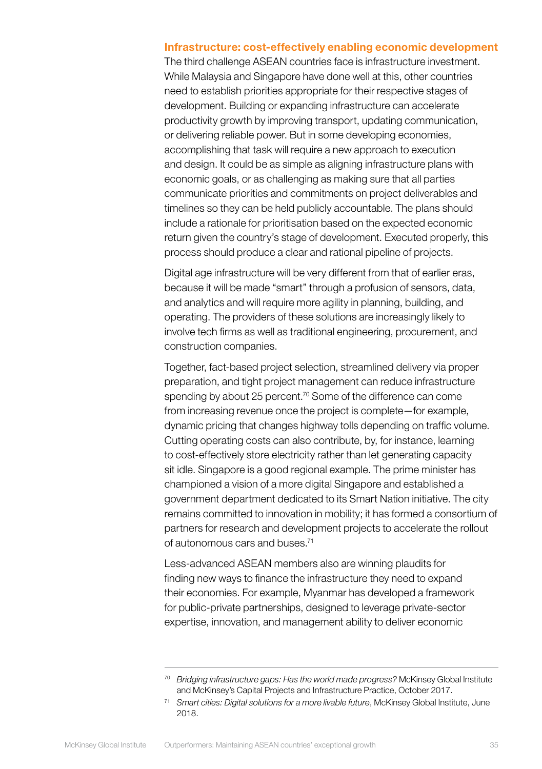# Infrastructure: cost-effectively enabling economic development

The third challenge ASEAN countries face is infrastructure investment. While Malaysia and Singapore have done well at this, other countries need to establish priorities appropriate for their respective stages of development. Building or expanding infrastructure can accelerate productivity growth by improving transport, updating communication, or delivering reliable power. But in some developing economies, accomplishing that task will require a new approach to execution and design. It could be as simple as aligning infrastructure plans with economic goals, or as challenging as making sure that all parties communicate priorities and commitments on project deliverables and timelines so they can be held publicly accountable. The plans should include a rationale for prioritisation based on the expected economic return given the country's stage of development. Executed properly, this process should produce a clear and rational pipeline of projects.

Digital age infrastructure will be very different from that of earlier eras, because it will be made "smart" through a profusion of sensors, data, and analytics and will require more agility in planning, building, and operating. The providers of these solutions are increasingly likely to involve tech firms as well as traditional engineering, procurement, and construction companies.

Together, fact-based project selection, streamlined delivery via proper preparation, and tight project management can reduce infrastructure spending by about 25 percent.<sup>70</sup> Some of the difference can come from increasing revenue once the project is complete—for example, dynamic pricing that changes highway tolls depending on traffic volume. Cutting operating costs can also contribute, by, for instance, learning to cost-effectively store electricity rather than let generating capacity sit idle. Singapore is a good regional example. The prime minister has championed a vision of a more digital Singapore and established a government department dedicated to its Smart Nation initiative. The city remains committed to innovation in mobility; it has formed a consortium of partners for research and development projects to accelerate the rollout of autonomous cars and buses.<sup>71</sup>

Less-advanced ASEAN members also are winning plaudits for finding new ways to finance the infrastructure they need to expand their economies. For example, Myanmar has developed a framework for public-private partnerships, designed to leverage private-sector expertise, innovation, and management ability to deliver economic

<sup>70</sup> *Bridging infrastructure gaps: Has the world made progress?* McKinsey Global Institute and McKinsey's Capital Projects and Infrastructure Practice, October 2017.

<sup>71</sup> *Smart cities: Digital solutions for a more livable future*, McKinsey Global Institute, June 2018.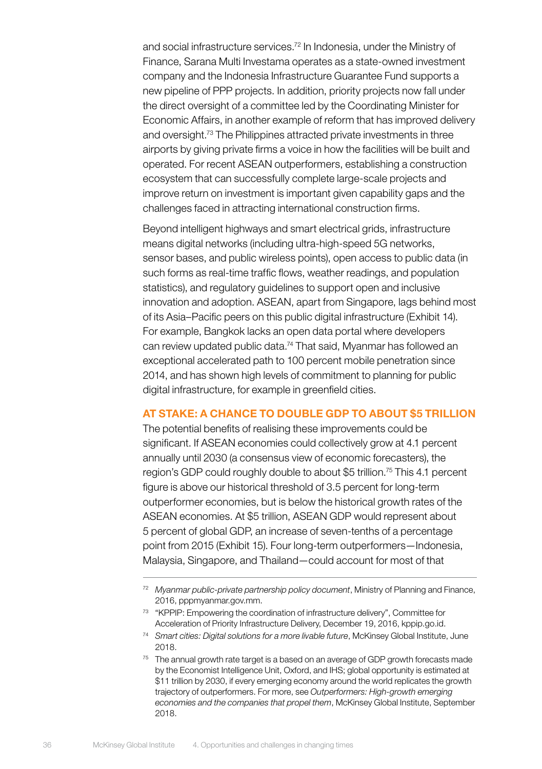and social infrastructure services.72 In Indonesia, under the Ministry of Finance, Sarana Multi Investama operates as a state-owned investment company and the Indonesia Infrastructure Guarantee Fund supports a new pipeline of PPP projects. In addition, priority projects now fall under the direct oversight of a committee led by the Coordinating Minister for Economic Affairs, in another example of reform that has improved delivery and oversight.73 The Philippines attracted private investments in three airports by giving private firms a voice in how the facilities will be built and operated. For recent ASEAN outperformers, establishing a construction ecosystem that can successfully complete large-scale projects and improve return on investment is important given capability gaps and the challenges faced in attracting international construction firms.

Beyond intelligent highways and smart electrical grids, infrastructure means digital networks (including ultra-high-speed 5G networks, sensor bases, and public wireless points), open access to public data (in such forms as real-time traffic flows, weather readings, and population statistics), and regulatory guidelines to support open and inclusive innovation and adoption. ASEAN, apart from Singapore, lags behind most of its Asia–Pacific peers on this public digital infrastructure (Exhibit 14). For example, Bangkok lacks an open data portal where developers can review updated public data.74 That said, Myanmar has followed an exceptional accelerated path to 100 percent mobile penetration since 2014, and has shown high levels of commitment to planning for public digital infrastructure, for example in greenfield cities.

# AT STAKE: A CHANCE TO DOUBLE GDP TO ABOUT \$5 TRILLION

The potential benefits of realising these improvements could be significant. If ASEAN economies could collectively grow at 4.1 percent annually until 2030 (a consensus view of economic forecasters), the region's GDP could roughly double to about \$5 trillion.75 This 4.1 percent figure is above our historical threshold of 3.5 percent for long-term outperformer economies, but is below the historical growth rates of the ASEAN economies. At \$5 trillion, ASEAN GDP would represent about 5 percent of global GDP, an increase of seven-tenths of a percentage point from 2015 (Exhibit 15). Four long-term outperformers—Indonesia, Malaysia, Singapore, and Thailand—could account for most of that

<sup>72</sup> *Myanmar public-private partnership policy document*, Ministry of Planning and Finance, 2016, pppmyanmar.gov.mm.

<sup>&</sup>lt;sup>73</sup> "KPPIP: Empowering the coordination of infrastructure delivery", Committee for Acceleration of Priority Infrastructure Delivery, December 19, 2016, kppip.go.id.

<sup>74</sup> *Smart cities: Digital solutions for a more livable future*, McKinsey Global Institute, June 2018.

 $75$  The annual growth rate target is a based on an average of GDP growth forecasts made by the Economist Intelligence Unit, Oxford, and IHS; global opportunity is estimated at \$11 trillion by 2030, if every emerging economy around the world replicates the growth trajectory of outperformers. For more, see *Outperformers: High-growth emerging economies and the companies that propel them*, McKinsey Global Institute, September 2018.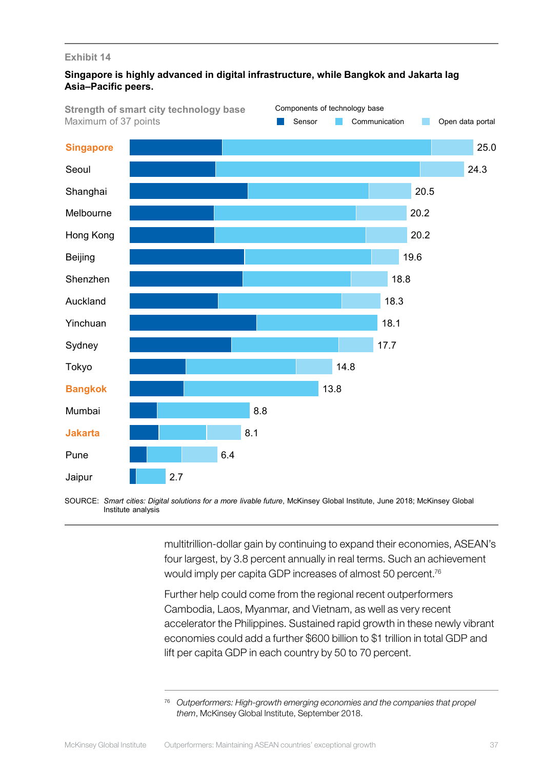# **Singapore is highly advanced in digital infrastructure, while Bangkok and Jakarta lag Asia–Pacific peers.**



SOURCE: *Smart cities: Digital solutions for a more livable future*, McKinsey Global Institute, June 2018; McKinsey Global Institute analysis

> multitrillion-dollar gain by continuing to expand their economies, ASEAN's four largest, by 3.8 percent annually in real terms. Such an achievement would imply per capita GDP increases of almost 50 percent.76

> Further help could come from the regional recent outperformers Cambodia, Laos, Myanmar, and Vietnam, as well as very recent accelerator the Philippines. Sustained rapid growth in these newly vibrant economies could add a further \$600 billion to \$1 trillion in total GDP and lift per capita GDP in each country by 50 to 70 percent.

<sup>76</sup> *Outperformers: High-growth emerging economies and the companies that propel them*, McKinsey Global Institute, September 2018.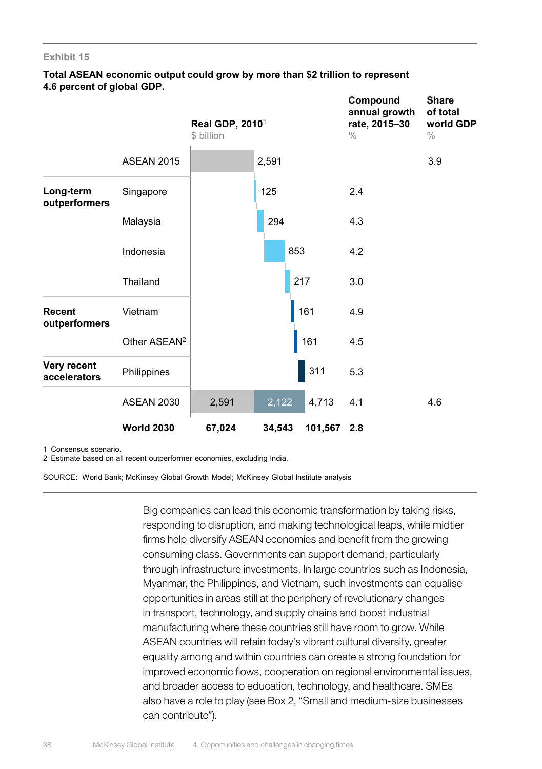### **Total ASEAN economic output could grow by more than \$2 trillion to represent 4.6 percent of global GDP.**

|                             |                          | Real GDP, 2010 <sup>1</sup><br>\$ billion |        |         | Compound<br>annual growth<br>rate, 2015-30<br>$\frac{0}{0}$ | <b>Share</b><br>of total<br>world GDP<br>$\frac{0}{0}$ |
|-----------------------------|--------------------------|-------------------------------------------|--------|---------|-------------------------------------------------------------|--------------------------------------------------------|
|                             | <b>ASEAN 2015</b>        |                                           | 2,591  |         |                                                             | 3.9                                                    |
| Long-term<br>outperformers  | Singapore                |                                           | 125    |         | 2.4                                                         |                                                        |
|                             | Malaysia                 |                                           | 294    |         | 4.3                                                         |                                                        |
|                             | Indonesia                |                                           | 853    |         | 4.2                                                         |                                                        |
|                             | Thailand                 |                                           |        | 217     | 3.0                                                         |                                                        |
| Recent<br>outperformers     | Vietnam                  |                                           |        | 161     | 4.9                                                         |                                                        |
|                             | Other ASEAN <sup>2</sup> |                                           |        | 161     | 4.5                                                         |                                                        |
| Very recent<br>accelerators | Philippines              |                                           |        | 311     | 5.3                                                         |                                                        |
|                             | <b>ASEAN 2030</b>        | 2,591                                     | 2,122  | 4,713   | 4.1                                                         | 4.6                                                    |
|                             | <b>World 2030</b>        | 67,024                                    | 34,543 | 101,567 | 2.8                                                         |                                                        |

1 Consensus scenario.

2 Estimate based on all recent outperformer economies, excluding India.

SOURCE: World Bank; McKinsey Global Growth Model; McKinsey Global Institute analysis

Big companies can lead this economic transformation by taking risks, responding to disruption, and making technological leaps, while midtier firms help diversify ASEAN economies and benefit from the growing consuming class. Governments can support demand, particularly through infrastructure investments. In large countries such as Indonesia, Myanmar, the Philippines, and Vietnam, such investments can equalise opportunities in areas still at the periphery of revolutionary changes in transport, technology, and supply chains and boost industrial manufacturing where these countries still have room to grow. While ASEAN countries will retain today's vibrant cultural diversity, greater equality among and within countries can create a strong foundation for improved economic flows, cooperation on regional environmental issues, and broader access to education, technology, and healthcare. SMEs also have a role to play (see Box 2, "Small and medium-size businesses can contribute").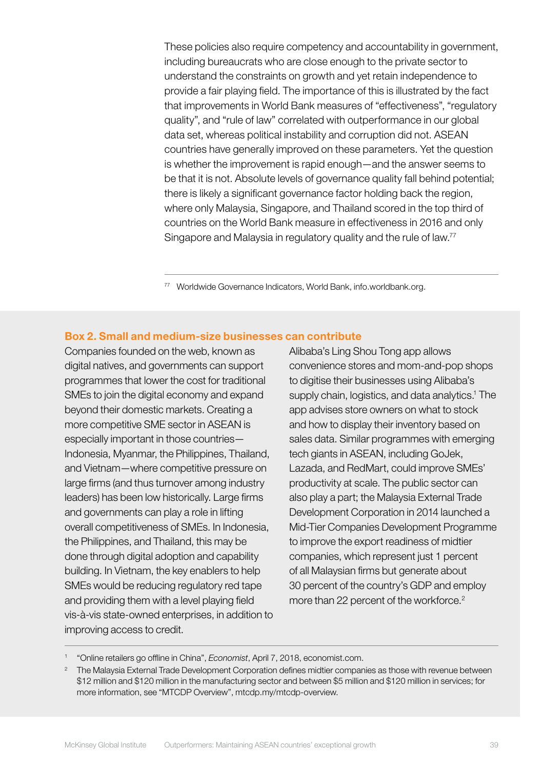These policies also require competency and accountability in government, including bureaucrats who are close enough to the private sector to understand the constraints on growth and yet retain independence to provide a fair playing field. The importance of this is illustrated by the fact that improvements in World Bank measures of "effectiveness", "regulatory quality", and "rule of law" correlated with outperformance in our global data set, whereas political instability and corruption did not. ASEAN countries have generally improved on these parameters. Yet the question is whether the improvement is rapid enough—and the answer seems to be that it is not. Absolute levels of governance quality fall behind potential; there is likely a significant governance factor holding back the region, where only Malaysia, Singapore, and Thailand scored in the top third of countries on the World Bank measure in effectiveness in 2016 and only Singapore and Malaysia in regulatory quality and the rule of law.<sup>77</sup>

<sup>77</sup> Worldwide Governance Indicators, World Bank, info.worldbank.org.

# Box 2. Small and medium-size businesses can contribute

Companies founded on the web, known as digital natives, and governments can support programmes that lower the cost for traditional SMEs to join the digital economy and expand beyond their domestic markets. Creating a more competitive SME sector in ASEAN is especially important in those countries— Indonesia, Myanmar, the Philippines, Thailand, and Vietnam—where competitive pressure on large firms (and thus turnover among industry leaders) has been low historically. Large firms and governments can play a role in lifting overall competitiveness of SMEs. In Indonesia, the Philippines, and Thailand, this may be done through digital adoption and capability building. In Vietnam, the key enablers to help SMEs would be reducing regulatory red tape and providing them with a level playing field vis-à-vis state-owned enterprises, in addition to improving access to credit.

Alibaba's Ling Shou Tong app allows convenience stores and mom-and-pop shops to digitise their businesses using Alibaba's supply chain, logistics, and data analytics.<sup>1</sup> The app advises store owners on what to stock and how to display their inventory based on sales data. Similar programmes with emerging tech giants in ASEAN, including GoJek, Lazada, and RedMart, could improve SMEs' productivity at scale. The public sector can also play a part; the Malaysia External Trade Development Corporation in 2014 launched a Mid-Tier Companies Development Programme to improve the export readiness of midtier companies, which represent just 1 percent of all Malaysian firms but generate about 30 percent of the country's GDP and employ more than 22 percent of the workforce.<sup>2</sup>

<sup>1</sup> "Online retailers go offline in China", *Economist*, April 7, 2018, economist.com.

<sup>&</sup>lt;sup>2</sup> The Malaysia External Trade Development Corporation defines midtier companies as those with revenue between \$12 million and \$120 million in the manufacturing sector and between \$5 million and \$120 million in services; for more information, see "MTCDP Overview", mtcdp.my/mtcdp-overview.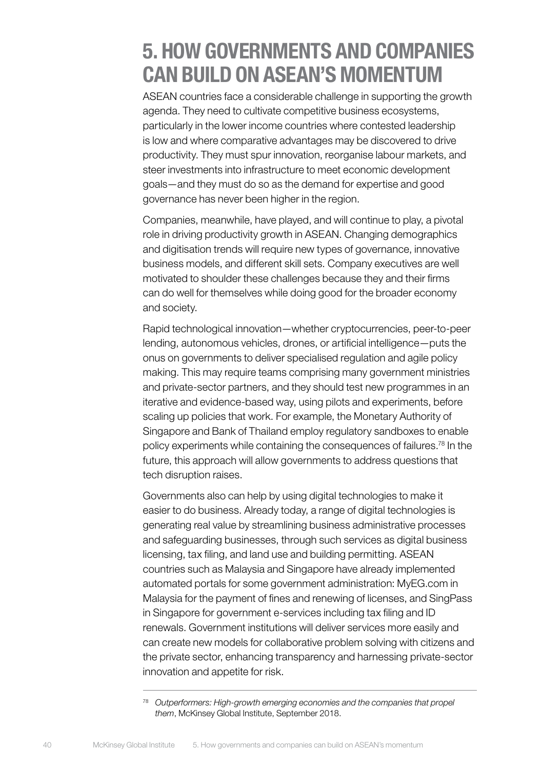# <span id="page-41-0"></span>5. HOW GOVERNMENTS AND COMPANIES CAN BUILD ON ASEAN'S MOMENTUM

ASEAN countries face a considerable challenge in supporting the growth agenda. They need to cultivate competitive business ecosystems, particularly in the lower income countries where contested leadership is low and where comparative advantages may be discovered to drive productivity. They must spur innovation, reorganise labour markets, and steer investments into infrastructure to meet economic development goals—and they must do so as the demand for expertise and good governance has never been higher in the region.

Companies, meanwhile, have played, and will continue to play, a pivotal role in driving productivity growth in ASEAN. Changing demographics and digitisation trends will require new types of governance, innovative business models, and different skill sets. Company executives are well motivated to shoulder these challenges because they and their firms can do well for themselves while doing good for the broader economy and society.

Rapid technological innovation—whether cryptocurrencies, peer-to-peer lending, autonomous vehicles, drones, or artificial intelligence—puts the onus on governments to deliver specialised regulation and agile policy making. This may require teams comprising many government ministries and private-sector partners, and they should test new programmes in an iterative and evidence-based way, using pilots and experiments, before scaling up policies that work. For example, the Monetary Authority of Singapore and Bank of Thailand employ regulatory sandboxes to enable policy experiments while containing the consequences of failures.78 In the future, this approach will allow governments to address questions that tech disruption raises.

Governments also can help by using digital technologies to make it easier to do business. Already today, a range of digital technologies is generating real value by streamlining business administrative processes and safeguarding businesses, through such services as digital business licensing, tax filing, and land use and building permitting. ASEAN countries such as Malaysia and Singapore have already implemented automated portals for some government administration: MyEG.com in Malaysia for the payment of fines and renewing of licenses, and SingPass in Singapore for government e-services including tax filing and ID renewals. Government institutions will deliver services more easily and can create new models for collaborative problem solving with citizens and the private sector, enhancing transparency and harnessing private-sector innovation and appetite for risk.

<sup>78</sup> *Outperformers: High-growth emerging economies and the companies that propel them*, McKinsey Global Institute, September 2018.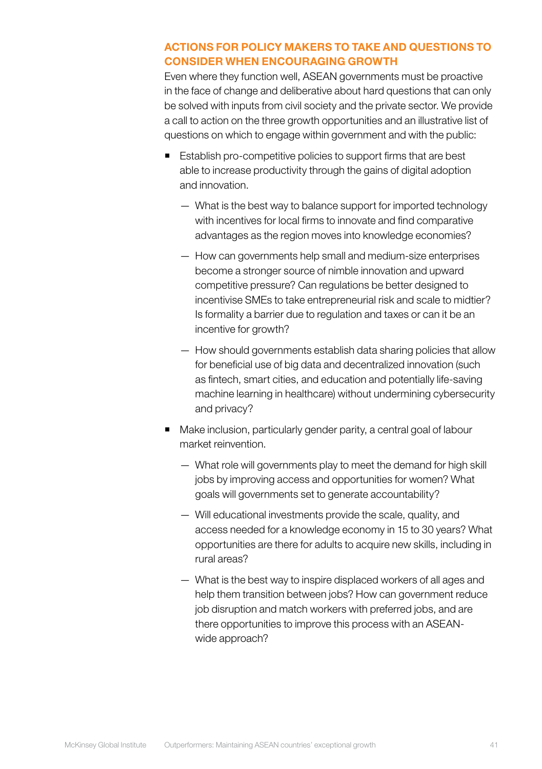# ACTIONS FOR POLICY MAKERS TO TAKE AND QUESTIONS TO CONSIDER WHEN ENCOURAGING GROWTH

Even where they function well, ASEAN governments must be proactive in the face of change and deliberative about hard questions that can only be solved with inputs from civil society and the private sector. We provide a call to action on the three growth opportunities and an illustrative list of questions on which to engage within government and with the public:

- Establish pro-competitive policies to support firms that are best able to increase productivity through the gains of digital adoption and innovation.
	- What is the best way to balance support for imported technology with incentives for local firms to innovate and find comparative advantages as the region moves into knowledge economies?
	- How can governments help small and medium-size enterprises become a stronger source of nimble innovation and upward competitive pressure? Can regulations be better designed to incentivise SMEs to take entrepreneurial risk and scale to midtier? Is formality a barrier due to regulation and taxes or can it be an incentive for growth?
	- How should governments establish data sharing policies that allow for beneficial use of big data and decentralized innovation (such as fintech, smart cities, and education and potentially life-saving machine learning in healthcare) without undermining cybersecurity and privacy?
- Make inclusion, particularly gender parity, a central goal of labour market reinvention.
	- What role will governments play to meet the demand for high skill jobs by improving access and opportunities for women? What goals will governments set to generate accountability?
	- Will educational investments provide the scale, quality, and access needed for a knowledge economy in 15 to 30 years? What opportunities are there for adults to acquire new skills, including in rural areas?
	- What is the best way to inspire displaced workers of all ages and help them transition between jobs? How can government reduce job disruption and match workers with preferred jobs, and are there opportunities to improve this process with an ASEANwide approach?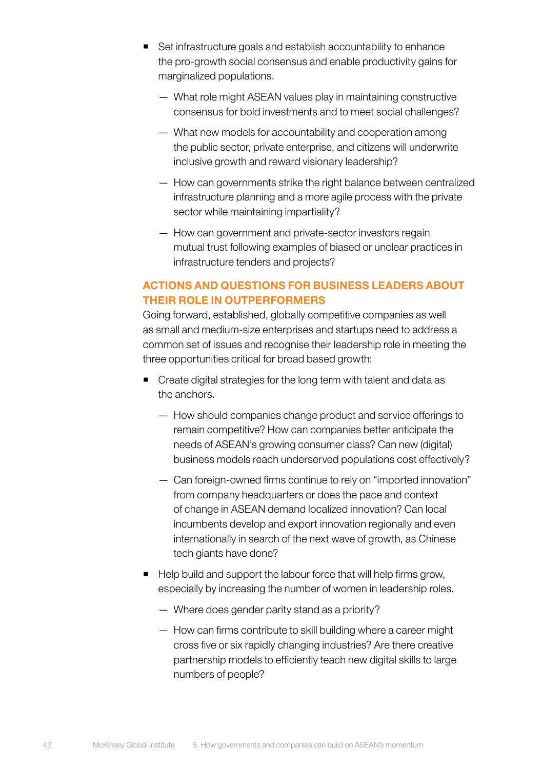- Set infrastructure goals and establish accountability to enhance the pro-growth social consensus and enable productivity gains for marginalized populations.
	- What role might ASEAN values play in maintaining constructive consensus for bold investments and to meet social challenges?
	- What new models for accountability and cooperation among the public sector, private enterprise, and citizens will underwrite inclusive growth and reward visionary leadership?
	- How can governments strike the right balance between centralized infrastructure planning and a more agile process with the private sector while maintaining impartiality?
	- How can government and private-sector investors regain mutual trust following examples of biased or unclear practices in infrastructure tenders and projects?

# ACTIONS AND QUESTIONS FOR BUSINESS LEADERS ABOUT THEIR ROLE IN OUTPERFORMERS

Going forward, established, globally competitive companies as well as small and medium-size enterprises and startups need to address a common set of issues and recognise their leadership role in meeting the three opportunities critical for broad based growth:

- Create digital strategies for the long term with talent and data as the anchors.
	- How should companies change product and service offerings to remain competitive? How can companies better anticipate the needs of ASEAN's growing consumer class? Can new (digital) business models reach underserved populations cost effectively?
	- Can foreign-owned firms continue to rely on "imported innovation" from company headquarters or does the pace and context of change in ASEAN demand localized innovation? Can local incumbents develop and export innovation regionally and even internationally in search of the next wave of growth, as Chinese tech giants have done?
- $\blacksquare$  Help build and support the labour force that will help firms grow, especially by increasing the number of women in leadership roles.
	- Where does gender parity stand as a priority?
	- How can firms contribute to skill building where a career might cross five or six rapidly changing industries? Are there creative partnership models to efficiently teach new digital skills to large numbers of people?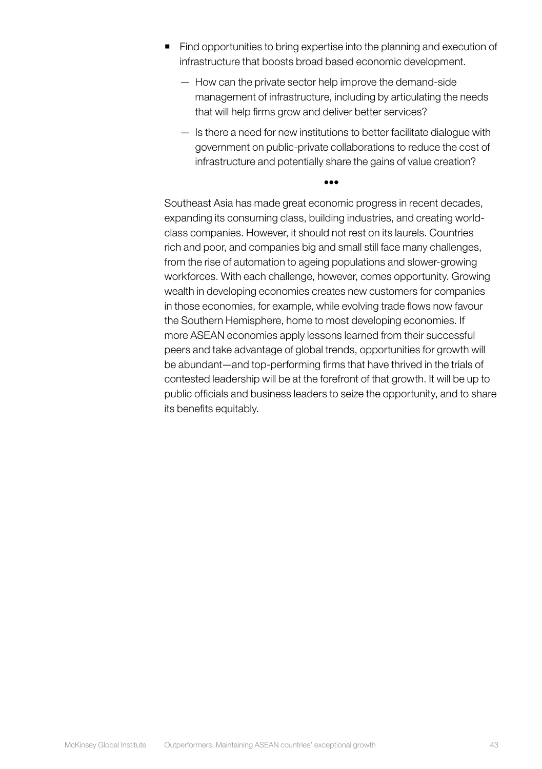- Find opportunities to bring expertise into the planning and execution of infrastructure that boosts broad based economic development.
	- How can the private sector help improve the demand-side management of infrastructure, including by articulating the needs that will help firms grow and deliver better services?
	- Is there a need for new institutions to better facilitate dialogue with government on public-private collaborations to reduce the cost of infrastructure and potentially share the gains of value creation?

•••

Southeast Asia has made great economic progress in recent decades, expanding its consuming class, building industries, and creating worldclass companies. However, it should not rest on its laurels. Countries rich and poor, and companies big and small still face many challenges, from the rise of automation to ageing populations and slower-growing workforces. With each challenge, however, comes opportunity. Growing wealth in developing economies creates new customers for companies in those economies, for example, while evolving trade flows now favour the Southern Hemisphere, home to most developing economies. If more ASEAN economies apply lessons learned from their successful peers and take advantage of global trends, opportunities for growth will be abundant—and top-performing firms that have thrived in the trials of contested leadership will be at the forefront of that growth. It will be up to public officials and business leaders to seize the opportunity, and to share its benefits equitably.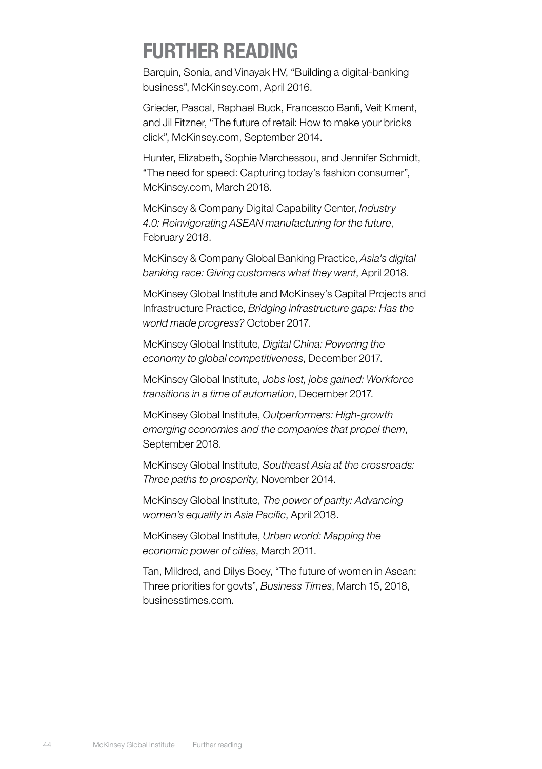# <span id="page-45-0"></span>FURTHER READING

Barquin, Sonia, and Vinayak HV, "Building a digital-banking business", McKinsey.com, April 2016.

Grieder, Pascal, Raphael Buck, Francesco Banfi, Veit Kment, and Jil Fitzner, "The future of retail: How to make your bricks click", McKinsey.com, September 2014.

Hunter, Elizabeth, Sophie Marchessou, and Jennifer Schmidt, "The need for speed: Capturing today's fashion consumer", McKinsey.com, March 2018.

McKinsey & Company Digital Capability Center, *Industry 4.0: Reinvigorating ASEAN manufacturing for the future*, February 2018.

McKinsey & Company Global Banking Practice, *Asia's digital banking race: Giving customers what they want*, April 2018.

McKinsey Global Institute and McKinsey's Capital Projects and Infrastructure Practice, *Bridging infrastructure gaps: Has the world made progress?* October 2017.

McKinsey Global Institute, *Digital China: Powering the economy to global competitiveness*, December 2017.

McKinsey Global Institute, *Jobs lost, jobs gained: Workforce transitions in a time of automation*, December 2017.

McKinsey Global Institute, *Outperformers: High-growth emerging economies and the companies that propel them*, September 2018.

McKinsey Global Institute, *Southeast Asia at the crossroads: Three paths to prosperity*, November 2014.

McKinsey Global Institute, *The power of parity: Advancing women's equality in Asia Pacific*, April 2018.

McKinsey Global Institute, *Urban world: Mapping the economic power of cities*, March 2011.

Tan, Mildred, and Dilys Boey, "The future of women in Asean: Three priorities for govts", *Business Times*, March 15, 2018, businesstimes.com.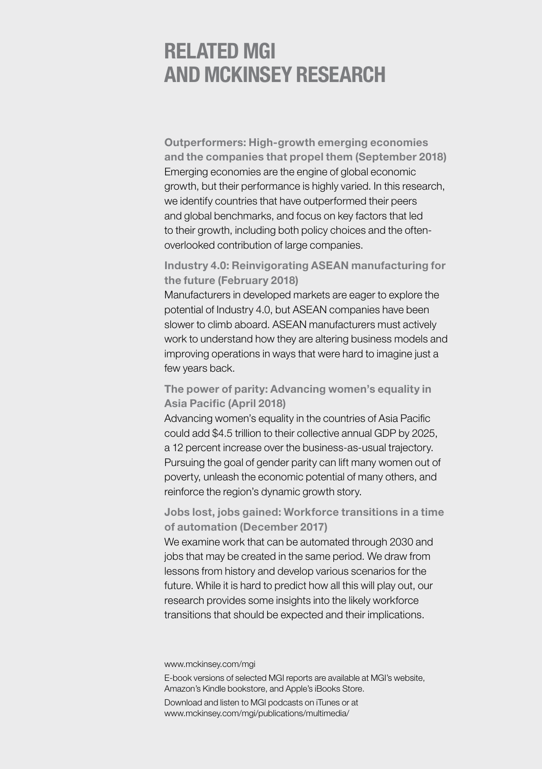# RELATED MGI AND MCKINSEY RESEARCH

Outperformers: High-growth emerging economies and the companies that propel them (September 2018) Emerging economies are the engine of global economic growth, but their performance is highly varied. In this research, we identify countries that have outperformed their peers and global benchmarks, and focus on key factors that led to their growth, including both policy choices and the oftenoverlooked contribution of large companies.

# Industry 4.0: Reinvigorating ASEAN manufacturing for the future (February 2018)

Manufacturers in developed markets are eager to explore the potential of Industry 4.0, but ASEAN companies have been slower to climb aboard. ASEAN manufacturers must actively work to understand how they are altering business models and improving operations in ways that were hard to imagine just a few years back.

# The power of parity: Advancing women's equality in Asia Pacific (April 2018)

Advancing women's equality in the countries of Asia Pacific could add \$4.5 trillion to their collective annual GDP by 2025, a 12 percent increase over the business-as-usual trajectory. Pursuing the goal of gender parity can lift many women out of poverty, unleash the economic potential of many others, and reinforce the region's dynamic growth story.

# Jobs lost, jobs gained: Workforce transitions in a time of automation (December 2017)

We examine work that can be automated through 2030 and jobs that may be created in the same period. We draw from lessons from history and develop various scenarios for the future. While it is hard to predict how all this will play out, our research provides some insights into the likely workforce transitions that should be expected and their implications.

#### www.mckinsey.com/mgi

E-book versions of selected MGI reports are available at MGI's website, Amazon's Kindle bookstore, and Apple's iBooks Store.

Download and listen to MGI podcasts on iTunes or at www.mckinsey.com/mgi/publications/multimedia/